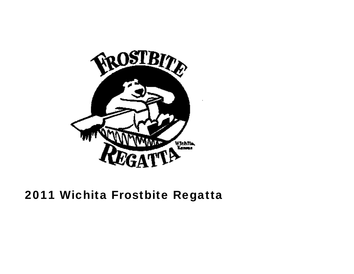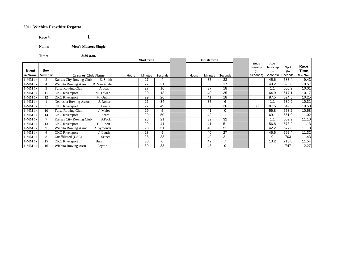**Race #: 1**

**Name: Men's Masters Single** 

**Time: 8:30 a.m.**

|          |                |                                              |       | <b>Start Time</b> |         |       | <b>Finish Time</b> |                 |                           |                           |              |              |
|----------|----------------|----------------------------------------------|-------|-------------------|---------|-------|--------------------|-----------------|---------------------------|---------------------------|--------------|--------------|
| Event    | <b>Bow</b>     |                                              |       |                   |         |       |                    |                 | Buoy<br>Penalty<br>$($ ln | Age<br>Handicap<br>$($ In | Split<br>(In | Race<br>Time |
| #/Name   | <b>Number</b>  | <b>Crew or Club Name</b>                     | Hours | <b>Minutes</b>    | Seconds | Hours | Minutes            | Seconds         | Seconds)                  | Seconds)                  | Seconds)     | Min.Sec      |
| 1-MM 1x  | 2              | Kansas City Rowing Club<br>E. Smith          |       | 27                | 4       |       | 37                 | 33              |                           | 45.6                      | 583.4        | 9.43         |
| $1-MM1x$ | $\overline{4}$ | Wichita Rowing Assoc.<br><b>B.</b> VanSickle |       | 27                | 31      |       | 38                 | 17              |                           | 49.2                      | 596.8        | 9.57         |
| 1-MM 1x  | 3              | Tulsa Rowing Club<br>A boat                  |       | 27                | 16      |       | 37                 | 18              |                           | 1.1                       | 600.9        | 10.01        |
| $1-MM1x$ | 11             | <b>OKC</b> Riversport<br>M. Tower            |       | 29                | 13      |       | 40                 | 35              |                           | 64.9                      | 617.1        | 10.17        |
| $1-MM1x$ | 12             | <b>OKC</b> Riversport<br>M. Quinn            |       | 29                | 26      |       | 41                 | 18              |                           | 87.5                      | 624.5        | 10.25        |
| 1-MM 1x  |                | Nebraska Rowing Assoc.<br>J. Roller          |       | 26                | 34      |       | 37                 | 6               |                           | 1.1                       | 630.9        | 10.31        |
| 1-MM 1x  | $\mathfrak{F}$ | <b>OKC</b> Riversport<br>S. Lewis            |       | 27                | 49      |       | 39                 | 36              | 30                        | 87.5                      | 649.5        | 10.50        |
| $1-MM1x$ | 10             | Tulsa Rowing Club<br>J. Maley                |       | 29                | 5       |       | 41                 | 0               |                           | 56.8                      | 658.2        | 10.58        |
| $1-MM1x$ | 14             | <b>OKC</b> Riversport<br>R. Sears            |       | 29                | 50      |       | 42                 |                 |                           | 69.1                      | 661.9        | 11.02        |
| $1-MM1x$ | $\overline{7}$ | Kansas City Rowing Club<br><b>B.Pack</b>     |       | 28                | 21      |       | 39                 | 32              |                           | 1.1                       | 669.9        | 11.10        |
| $1-MM1x$ | 13             | <b>OKC</b> Riversport<br>T. Rupert           |       | 29                | 41      |       | 41                 | 51              |                           | 56.8                      | 673.2        | 11.13        |
| $1-MM1x$ | 9              | Wichita Rowing Assoc.<br>R. Symonds          |       | 28                | 51      |       | 40                 | 51              |                           | 42.2                      | 677.8        | 11.18        |
| $1-MM1x$ | 6              | <b>OKC</b> Riversport<br>J. Lauth            |       | 28                | 9       |       | 40                 | $\overline{27}$ |                           | 45.6                      | 692.4        | 11.32        |
| $1-MM1x$ | 8              | Unaffiliated (USA)<br>J. Setzer              |       | 28                | 38      |       | 40                 | 21              |                           | $\mathbf 0$               | 703          | 11.43        |
| 1-MM 1x  | 15             | <b>OKC</b> Riversport<br>Burch               |       | 30                | 0       |       | 42                 | $\overline{ }$  |                           | 13.2                      | 713.8        | 11.54        |
| $1-MM1x$ | 16             | Wichita Rowing Assn<br>Peyton                |       | 30                | 33      |       | 43                 | 0               |                           |                           | 747          | 12.27        |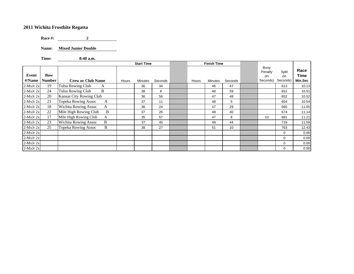**Race #: 2** $\overline{\mathbf{c}}$ 

**Name: Mixed Junior Double**

**Time: 8:40 a.m.**

|                 |                             |                                  |       | <b>Start Time</b> |         |       | <b>Finish Time</b> |         |                                    |                          |                         |
|-----------------|-----------------------------|----------------------------------|-------|-------------------|---------|-------|--------------------|---------|------------------------------------|--------------------------|-------------------------|
| Event<br>#/Name | <b>Bow</b><br><b>Number</b> | <b>Crew or Club Name</b>         | Hours | Minutes           | Seconds | Hours | <b>Minutes</b>     | Seconds | Buoy<br>Penalty<br>(In<br>Seconds) | Split<br>(In<br>Seconds) | Race<br>Time<br>Min.Sec |
| $2$ -MxJr $2x$  | 19                          | Tulsa Rowing Club<br>A           |       | 36                | 34      |       | 46                 | 47      |                                    | 613                      | 10.13                   |
| $2$ -MxJr $2x$  | 24                          | <b>Tulsa Rowing Club</b><br>B    |       | 38                | 8       |       | 48                 | 59      |                                    | 651                      | 10.51                   |
| $2$ -MxJr $2x$  | 20                          | Kansas City Rowing Club          |       | 36                | 56      |       | 47                 | 48      |                                    | 652                      | 10.52                   |
| $2$ -MxJr $2x$  | 21                          | <b>Topeka Rowing Assoc</b><br>A  |       | 37                | 11      |       | 48                 | 5       |                                    | 654                      | 10.54                   |
| $2$ -MxJr $2x$  | 18                          | <b>Wichita Rowing Assoc</b><br>A |       | 36                | 24      |       | 47                 | 29      |                                    | 665                      | 11.05                   |
| $2$ -MxJr $2x$  | 22                          | Mile High Rowing Club<br>B       |       | 37                | 26      |       | 48                 | 40      |                                    | 674                      | 11.14                   |
| $2$ -MxJr $2x$  | 17                          | Mile High Rowing Club<br>A       |       | 35                | 57      |       | 47                 | 8       | 10                                 | 681                      | 11.21                   |
| $2$ -MxJr $2x$  | 23                          | <b>Wichita Rowing Assoc</b><br>B |       | 37                | 45      |       | 49                 | 44      |                                    | 719                      | 11.59                   |
| $2$ -MxJr $2x$  | 25                          | <b>Topeka Rowing Assoc</b><br>B  |       | 38                | 27      |       | 51                 | 10      |                                    | 763                      | 12.43                   |
| $2$ -MxJr $2x$  |                             |                                  |       |                   |         |       |                    |         |                                    | $\mathbf 0$              | 0.00                    |
| $2$ -MxJr $2x$  |                             |                                  |       |                   |         |       |                    |         |                                    | $\Omega$                 | 0.00                    |
| $2$ -MxJr $2x$  |                             |                                  |       |                   |         |       |                    |         |                                    | $\Omega$                 | 0.00                    |
| $2$ -MxJr $2x$  |                             |                                  |       |                   |         |       |                    |         |                                    | $\mathbf 0$              | 0.00                    |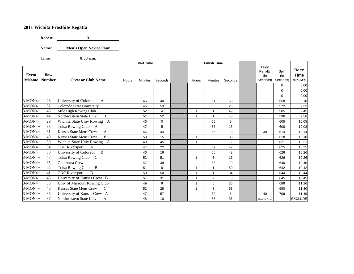**Race #: 3**

**Name: Men's Open Novice Four**

**Time: 8:50 a.m.**

|                 |                             |                                                |       | <b>Start Time</b> |             |                         | <b>Finish Time</b> |         |                                       |                             |                         |
|-----------------|-----------------------------|------------------------------------------------|-------|-------------------|-------------|-------------------------|--------------------|---------|---------------------------------------|-----------------------------|-------------------------|
| Event<br>#/Name | <b>Bow</b><br><b>Number</b> | <b>Crew or Club Name</b>                       | Hours | Minutes           | Seconds     | Hours                   | Minutes            | Seconds | Buoy<br>Penalty<br>$($ ln<br>Seconds) | Split<br>$($ ln<br>Seconds) | Race<br>Time<br>Min.Sec |
|                 |                             |                                                |       |                   |             |                         |                    |         |                                       | $\Omega$                    | 0.00                    |
|                 |                             |                                                |       |                   |             |                         |                    |         |                                       | $\Omega$                    | 0.00                    |
|                 |                             |                                                |       |                   |             |                         |                    |         |                                       | $\mathbf 0$                 | 0.00                    |
| $3-MON4+$       | 28                          | University of Colorado<br>A                    |       | 45                | 40          |                         | 54                 | 58      |                                       | 558                         | 9.18                    |
| $3-MON4+$       | 32                          | Colorado State University                      |       | 46                | 53          |                         | 56                 | 25      |                                       | 572                         | 9.32                    |
| $3-MON4+$       | 45                          | Mile High Rowing Club                          |       | 52                | 4           | -1                      | 1                  | 49      |                                       | 585                         | 9.45                    |
| 3-MON4+         | 44                          | <sub>B</sub><br>Northwestern State Univ        |       | 51                | 52          |                         | $\overline{ }$     | 48      |                                       | 596                         | 9.56                    |
| $3-MON4+$       | 29                          | Wichita State Univ Rowing A                    |       | 46                | $\mathbf 0$ |                         | 56                 | 5       |                                       | 605                         | 10.05                   |
| $3-MON4+$       | 33                          | Tulsa Rowing Club A                            |       | 47                | 5           |                         | 57                 | 13      |                                       | 608                         | 10.08                   |
| $3-MON4+$       | 31                          | <b>Kansas State Mens Crew</b><br>A             |       | 46                | 34          |                         | 56                 | 18      | 30                                    | 614                         | 10.14                   |
| 3-MON4+         | 40                          | $\bf{B}$<br><b>Kansas State Mens Crew</b>      |       | 50                | 15          |                         | $\mathbf 0$        | 33      |                                       | 618                         | 10.18                   |
| $3-MON4+$       | 39                          | Wichita State Univ Rowing A                    |       | 49                | 45          |                         | $\Omega$           | 6       |                                       | 621                         | 10.21                   |
| $3-MON4+$       | 34                          | <b>OKC</b> Riversport<br>A                     |       | 47                | 22          |                         | 57                 | 47      |                                       | 625                         | 10.25                   |
| 3-MON4+         | 30                          | University of Colorado<br>$\mathbf{B}$         |       | 46                | 16          |                         | 56                 | 42      |                                       | 626                         | 10.26                   |
| 3-MON4+         | 47                          | Tulsa Rowing Club<br>C                         |       | 52                | 51          |                         | 3                  | 17      |                                       | 626                         | 10.26                   |
| $3-MON4+$       | 35                          | Oklahoma Crew                                  |       | 47                | 39          |                         | 58                 | 19      |                                       | 640                         | 10.40                   |
| $3-MON4+$       | 42                          | $\mathbf{B}$<br>Tulsa Rowing Club              |       | 51                | 8           |                         | 1                  | 50      |                                       | 642                         | 10.42                   |
| $3-MON4+$       | 41                          | <b>OKC</b> Riversport<br>B                     |       | 50                | 50          |                         | $\mathbf{1}$       | 34      |                                       | 644                         | 10.44                   |
| 3-MON4+         | 43                          | University of Kansas Crew B                    |       | 51                | 31          |                         | $\overline{2}$     | 16      |                                       | 645                         | 10.45                   |
| $3-MON4+$       | 38                          | Univ of Missouri Rowing Club                   |       | 49                | 9           |                         | $\Omega$           | 35      |                                       | 686                         | 11.26                   |
| $3-MON4+$       | 46                          | <b>Kansas State Mens Crew</b><br>$\mathcal{C}$ |       | 52                | 28          | $\overline{\mathbf{1}}$ | 3                  | 58      |                                       | 690                         | 11.30                   |
| 3-MON4+         | 36                          | University of Kansas Crew A                    |       | 47                | 57          |                         | 59                 | 6       | 40                                    | 709                         | 11.49                   |
| $3-MON4+$       | 37                          | Northwestern State Univ<br>A                   |       | 48                | 10          |                         | 58                 | 36      | <b>Unsafely Press</b>                 |                             | <b>EXCLUDE</b>          |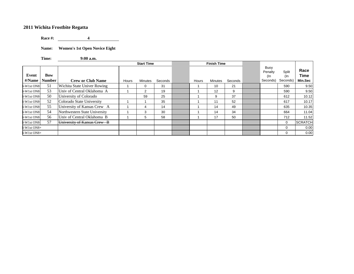**Race #: 4**

**Name: Women's 1st Open Novice Eight**

**Time: 9:00 a.m.**

|                 |                             |                               |       | <b>Start Time</b> |         |       | <b>Finish Time</b> |         |                                    |                          |                         |
|-----------------|-----------------------------|-------------------------------|-------|-------------------|---------|-------|--------------------|---------|------------------------------------|--------------------------|-------------------------|
| Event<br>#/Name | <b>Bow</b><br><b>Number</b> | <b>Crew or Club Name</b>      | Hours | Minutes           | Seconds | Hours | Minutes            | Seconds | Buoy<br>Penalty<br>(In<br>Seconds) | Split<br>(In<br>Seconds) | Race<br>Time<br>Min.Sec |
| -W1st ON8-      | 51                          | Wichita State Univer Rowing   |       | 0                 | 31      |       | 10                 | 21      |                                    | 590                      | 9.50                    |
| -W1st ON8-      | 53                          | Univ of Central Oklahoma A    |       | 2                 | 19      |       | 12                 | 9       |                                    | 590                      | 9.50                    |
| $-W1st$ ON8-    | 50                          | University of Colorado        |       | 59                | 25      |       | 9                  | 37      |                                    | 612                      | 10.12                   |
| $-W1st$ ON8-    | 52                          | Colorado State University     |       |                   | 35      |       | 11                 | 52      |                                    | 617                      | 10.17                   |
| -W1st ON8-      | 55                          | University of Kansas Crew A   |       | 4                 | 14      |       | 14                 | 49      |                                    | 635                      | 10.35                   |
| -W1st ON8-      | 54                          | Northwestern State University |       | 3                 | 30      |       | 14                 | 34      |                                    | 664                      | 11.04                   |
| $-W1st$ ON8-    | 56                          | Univ of Central Oklahoma B    |       | 5                 | 58      |       | 17                 | 50      |                                    | 712                      | 11.52                   |
| -W1st ON8-      | 57                          | University of Kansas Crew B   |       |                   |         |       |                    |         |                                    | $\mathbf 0$              | <b>SCRATCH</b>          |
| $-W1st$ ON8+    |                             |                               |       |                   |         |       |                    |         |                                    | $\mathbf 0$              | 0.00                    |
| $-W1st ON8+$    |                             |                               |       |                   |         |       |                    |         |                                    | $\Omega$                 | 0.00                    |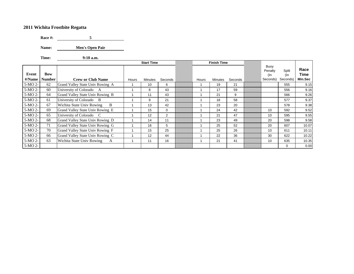**Race #: 5**

**Name: Men's Open Pair**

 $9:10$  a.m.

**Time: 9:10 a.m.**

**Event #/Name Bow Number Crew or Club Name** Hours Minutes Seconds Hours Minutes SecondsSeconds Buoy Penalty (In Seconds) Seconds) Split (In **Race Time Min.Sec** 5-MO 2- 62Grand Valley State Univ Rowing A 1 | 10 | 6 | 1 | 19 | 21 | | | 555 | 9.15  $5-MO 2- 60$ University of Colorado A 1 | 8 | 43 | 1 | 17 | 59 | | | 556 | 9.16 5-MO 2- 64Grand Valley State Univ Rowing B 1 1 1 43 1 1 21 9 1 566 9.26  $5-MO 2-$  61 University of Colorado B 1 | 9 | 21 | 1 | 18 | 58 | | | | 577 | 9.37 5-MO 2- 67 Wichita State Univ Rowing B 1 1 13 42 1 1 23 20 1 578 5-38  $5-MO 2- 69$ Grand Valley State Univ Rowing E | 1 | 15 | 0 | 1 | 1 | 24 | 42 | 10 | 592 | 9.52 5-MO 2- 65University of Colorado C 1 1 | 12 | 2 | 1 | 1 | 21 | 47 | 10 | 595 | 9.55 5-MO 2- 68Grand Valley State Univ Rowing D 1 | 14 | 11 | 11 | 23 | 49 | 20 | 598 | 9.58 5-MO 2- 71 Grand Valley State Univ Rowing G <sup>1</sup> 16 <sup>5</sup> <sup>1</sup> 25 52 20 607 10.07  $5-MO 2- 70$ Grand Valley State Univ Rowing F 1 | 15 | 25 | 1 | 25 | 26 | 10 | 611 | 10.11 5-MO 2- 66Grand Valley State Univ Rowing C 1 | 12 | 44 | 1 | 22 | 36 | 30 | 622 | 10.22 5-MO 2- 63 Wichita State Univ Rowing A 1 1 11 16 1 1 21 41 41 10 635 10.35 5-MO 2--1 1 0 1 0.00 **Start Time Contains Time Property Property Property Property Property Property Property Property Property Property Property Property Property Property Property Property Property Prope**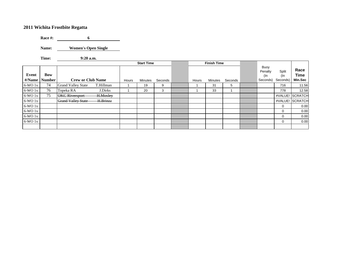**Race #: 6**

**Name: Women's Open Single**

**Time: 9:20 a.m.** $9:20$  a.m.

|                 |                             |                           |           |       | <b>Start Time</b> |         |       | <b>Finish Time</b> |         |                                    |                          |                         |
|-----------------|-----------------------------|---------------------------|-----------|-------|-------------------|---------|-------|--------------------|---------|------------------------------------|--------------------------|-------------------------|
| Event<br>#/Name | <b>Bow</b><br><b>Number</b> | <b>Crew or Club Name</b>  |           | Hours | <b>Minutes</b>    | Seconds | Hours | Minutes            | Seconds | Buoy<br>Penalty<br>(In<br>Seconds) | Split<br>(In<br>Seconds) | Race<br>Time<br>Min.Sec |
| $6-WO1x$        | 74                          | <b>Grand Valley State</b> | T.Hillman |       | 19                | 9       |       | 31                 | 5       |                                    | 716                      | 11.56                   |
| $6-WO1x$        | 76                          | Topeka RA                 | J.Dirks   |       | 20                | 3       |       | 33                 |         |                                    | 778                      | 12.58                   |
| $6-WO1x$        | 75                          | <b>OKC</b> Riversport     | H.Mosley  |       |                   |         |       |                    |         |                                    |                          | #VALUE! SCRATCH         |
| $6-WO1x$        |                             | <b>Grand Valley State</b> | H.Brinza  |       |                   |         |       |                    |         |                                    |                          | #VALUE! SCRATCH         |
| $6-WO1x$        |                             |                           |           |       |                   |         |       |                    |         |                                    | 0                        | 0.00                    |
| $6-WO1x$        |                             |                           |           |       |                   |         |       |                    |         |                                    | 0                        | 0.00                    |
| $6-WO1x$        |                             |                           |           |       |                   |         |       |                    |         |                                    | $\Omega$                 | 0.00                    |
| $6-WO1x$        |                             |                           |           |       |                   |         |       |                    |         |                                    | 0                        | 0.00                    |
|                 |                             |                           |           |       |                   |         |       |                    |         |                                    |                          |                         |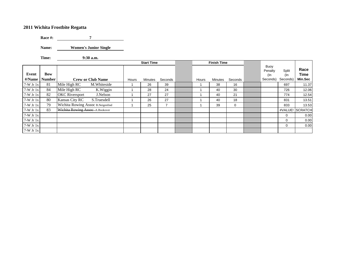**Race #: 7**

**Name: Women's Junior Single**

**Time: 9:30 a.m.**

|                 |                      |                                   |       | <b>Start Time</b> |                |       | <b>Finish Time</b> |         |                                    |                          |                         |
|-----------------|----------------------|-----------------------------------|-------|-------------------|----------------|-------|--------------------|---------|------------------------------------|--------------------------|-------------------------|
| Event<br>#/Name | Bow<br><b>Number</b> | <b>Crew or Club Name</b>          | Hours | <b>Minutes</b>    | Seconds        | Hours | <b>Minutes</b>     | Seconds | Buoy<br>Penalty<br>(In<br>Seconds) | Split<br>(In<br>Seconds) | Race<br>Time<br>Min.Sec |
| $7-W$ Jr $1x$   | 81                   | M. Whiteside<br>Mile High RC      |       | 26                | 39             |       | 38                 | 16      |                                    | 697                      | 11.37                   |
| $7-W$ Jr $1x$   | 84                   | Mile High RC<br>K.Wiggin          |       | 28                | 24             |       | 40                 | 30      |                                    | 726                      | 12.06                   |
| $7-W$ Jr $1x$   | 82                   | <b>OKC</b> Riversport<br>J.Nelson |       | 27                | 27             |       | 40                 | 21      |                                    | 774                      | 12.54                   |
| $7-W$ Jr $1x$   | 80                   | Kansas City RC<br>S.Truesdell     |       | 26                | 27             |       | 40                 | 18      |                                    | 831                      | 13.51                   |
| $7-W$ Jr $1x$   | 79                   | Wichita Rowing Assoc B.Neigenfind |       | 25                | $\overline{ }$ |       | 39                 | 0       |                                    | 833                      | 13.53                   |
| $7-W$ Jr $1x$   | 83                   | Wichita Rowing Assoc-A.Bookover   |       |                   |                |       |                    |         |                                    |                          | #VALUE! SCRATCH         |
| $7-W$ Jr $1x$   |                      |                                   |       |                   |                |       |                    |         |                                    | $\Omega$                 | 0.00                    |
| $7-W$ Jr $1x$   |                      |                                   |       |                   |                |       |                    |         |                                    | $\Omega$                 | 0.00                    |
| $7-W$ Jr $1x$   |                      |                                   |       |                   |                |       |                    |         |                                    | 0                        | 0.00                    |
| $7-W$ Jr $1x$   |                      |                                   |       |                   |                |       |                    |         |                                    |                          |                         |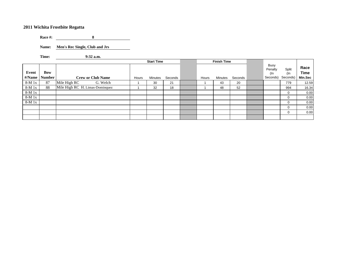**Race #: 8**<u> 1999 - John Barnett</u>

**Name: Men's Rec Single, Club and Jrs**

**Time: 9:32 a.m.**

|                 |                      |                                 |       | <b>Start Time</b> |         |       | <b>Finish Time</b> |         |                                    |                          |                                |
|-----------------|----------------------|---------------------------------|-------|-------------------|---------|-------|--------------------|---------|------------------------------------|--------------------------|--------------------------------|
| Event<br>#/Name | Bow<br><b>Number</b> | <b>Crew or Club Name</b>        | Hours | Minutes           | Seconds | Hours | Minutes            | Seconds | Buoy<br>Penalty<br>(In<br>Seconds) | Split<br>(In<br>Seconds) | Race<br><b>Time</b><br>Min.Sec |
| $8-M_1x$        | 87                   | G. Welch<br>Mile High RC        |       | 30                | 21      |       | 43                 | 20      |                                    | 779                      | 12.59                          |
| $8-M_1x$        | 88                   | Mile High RC H. Limas-Dominquez |       | 32                | 18      |       | 48                 | 52      |                                    | 994                      | 16.34                          |
| $8-M_1x$        |                      |                                 |       |                   |         |       |                    |         |                                    | 0                        | 0.00                           |
| $8-M_1x$        |                      |                                 |       |                   |         |       |                    |         |                                    | 0                        | 0.00                           |
| $8-M_1x$        |                      |                                 |       |                   |         |       |                    |         |                                    |                          | 0.00                           |
|                 |                      |                                 |       |                   |         |       |                    |         |                                    |                          | 0.00                           |
|                 |                      |                                 |       |                   |         |       |                    |         |                                    | $\Omega$                 | 0.00                           |
|                 |                      |                                 |       |                   |         |       |                    |         |                                    |                          |                                |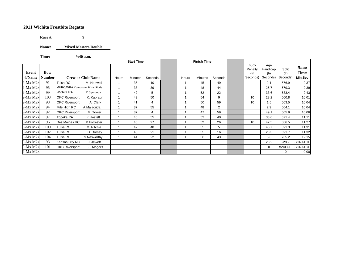**Race #: 9**

**Name: Mixed Masters Double**

**Time: 9:40 a.m.**

|            |               |                                     |       | <b>Start Time</b> |         |       | <b>Finish Time</b> |                |                           |                        |              |                |
|------------|---------------|-------------------------------------|-------|-------------------|---------|-------|--------------------|----------------|---------------------------|------------------------|--------------|----------------|
| Event      | <b>Bow</b>    |                                     |       |                   |         |       |                    |                | Buoy<br>Penalty<br>$($ In | Age<br>Handicap<br>(In | Split<br>(In | Race<br>Time   |
| #/Name     | <b>Number</b> | <b>Crew or Club Name</b>            | Hours | <b>Minutes</b>    | Seconds | Hours | <b>Minutes</b>     | Seconds        | Seconds)                  | Seconds)               | Seconds)     | Min.Sec        |
| 9-Mx M2x   | 91            | Tulsa RC<br>M. Hartwell             |       | 36                | 10      |       | 45                 | 49             |                           | 2.1                    | 576.9        | 9.37           |
| $9-Mx M2x$ | 95            | MHRC/WRA Composite B.VanSickle      |       | 38                | 39      |       | 48                 | 44             |                           | 25.7                   | 579.3        | 9.39           |
| 9-Mx M2x   | 99            | Wichita RA<br>R.Symonds             |       | 42                | 5       |       | 52                 | 22             |                           | 33.6                   | 583.4        | 9.43           |
| $9-Mx M2x$ | 103           | <b>OKC Riversport</b><br>K. Kapraun |       | 43                | 50      |       | 54                 | 9              | 10                        | 28.2                   | 600.8        | 10.01          |
| 9-Mx M2x   | 98            | <b>OKC Riversport</b><br>A. Clark   |       | 41                | 4       |       | 50                 | 59             | 10                        | 1.5                    | 603.5        | 10.04          |
| 9-Mx M2x   | 94            | Mile High RC<br>A.Malacrida         |       | 37                | 55      |       | 48                 | $\overline{2}$ |                           | 2.9                    | 604.1        | 10.04          |
| 9-Mx M2x   | 92            | <b>OKC Riversport</b><br>M. Tower   |       | 37                | 4       |       | 47                 | 59             |                           | 49.1                   | 605.9        | 10.06          |
| 9-Mx M2x   | 97            | Topeka RA<br>K.Hosfelt              |       | 40                | 55      |       | 52                 | 40             |                           | 33.6                   | 671.4        | 11.11          |
| $9-Mx M2x$ | 96            | Des Moines RC<br>K.Forrester        |       | 40                | 27      |       | 52                 | 26             | 10                        | 42.5                   | 686.5        | 11.27          |
| $9-Mx M2x$ | 100           | Tulsa RC<br>M. Ritchie              |       | 42                | 48      |       | 55                 | 5              |                           | 45.7                   | 691.3        | 11.31          |
| $9-Mx M2x$ | 102           | Tulsa RC<br>D. Dorsey               |       | 43                | 21      |       | 55                 | 16             |                           | 23.3                   | 691.7        | 11.32          |
| 9-Mx M2x   | 104           | Tulsa RC<br>S.Nasworthy             |       | 44                | 22      |       | 56                 | 43             |                           | 5.8                    | 735.2        | 12.15          |
| 9-Mx M2x   | 93            | Kansas City RC<br>J. Jewett         |       |                   |         |       |                    |                |                           | 28.2                   | $-28.2$      | <b>SCRATCH</b> |
| 9-Mx M2x   | 101           | <b>OKC Riversport</b><br>J. Magers  |       |                   |         |       |                    |                |                           | $\mathbf 0$            | #VALUE!      | <b>SCRATCH</b> |
| $9-Mx M2x$ |               |                                     |       |                   |         |       |                    |                |                           |                        | 0            | 0.00           |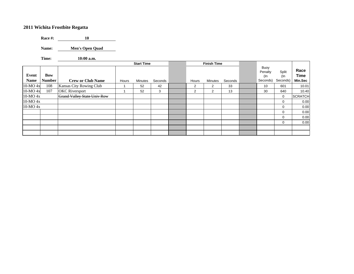**Race #: 10** $10$ 

**Name: Men's Open Quad**

**Time: 10:00 a.m.**

|                      |                             |                                    |       | <b>Start Time</b> |         |                | <b>Finish Time</b> |         |                                    |                          |                         |
|----------------------|-----------------------------|------------------------------------|-------|-------------------|---------|----------------|--------------------|---------|------------------------------------|--------------------------|-------------------------|
| Event<br><b>Name</b> | <b>Bow</b><br><b>Number</b> | <b>Crew or Club Name</b>           | Hours | Minutes           | Seconds | Hours          | <b>Minutes</b>     | Seconds | Buoy<br>Penalty<br>(In<br>Seconds) | Split<br>(In<br>Seconds) | Race<br>Time<br>Min.Sec |
| $10-MO$ 4x           | 108                         | Kansas City Rowing Club            |       | 52                | 42      | $\overline{2}$ | 2                  | 33      | 10                                 | 601                      | 10.01                   |
| $10-MO$ 4x           | 107                         | <b>OKC</b> Riversport              |       | 52                | 3       | 2              | $\overline{2}$     | 13      | 30                                 | 640                      | 10.40                   |
| 10-MO 4x             |                             | <b>Grand Valley State Univ Row</b> |       |                   |         |                |                    |         |                                    | $\mathbf 0$              | <b>SCRATCH</b>          |
| $10-MO4x$            |                             |                                    |       |                   |         |                |                    |         |                                    | $\mathbf 0$              | 0.00                    |
| 10-MO 4x             |                             |                                    |       |                   |         |                |                    |         |                                    | $\mathbf 0$              | 0.00                    |
|                      |                             |                                    |       |                   |         |                |                    |         |                                    | $\mathbf 0$              | 0.00                    |
|                      |                             |                                    |       |                   |         |                |                    |         |                                    | $\mathbf 0$              | 0.00                    |
|                      |                             |                                    |       |                   |         |                |                    |         |                                    | $\mathbf 0$              | 0.00                    |
|                      |                             |                                    |       |                   |         |                |                    |         |                                    |                          |                         |
|                      |                             |                                    |       |                   |         |                |                    |         |                                    |                          |                         |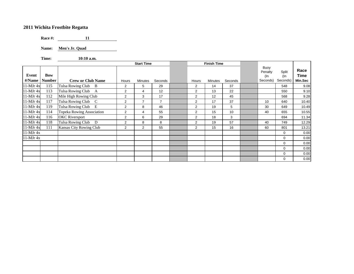**Race #: 11**

**Name: Men's Jr. Quad**

**Time: 10:10 a.m.**

|                 |                             |                           |                | <b>Start Time</b> |                |                | <b>Finish Time</b> |         |                                       |                             |                         |
|-----------------|-----------------------------|---------------------------|----------------|-------------------|----------------|----------------|--------------------|---------|---------------------------------------|-----------------------------|-------------------------|
| Event<br>#/Name | <b>Bow</b><br><b>Number</b> | <b>Crew or Club Name</b>  | Hours          | Minutes           | Seconds        | Hours          | Minutes            | Seconds | Buoy<br>Penalty<br>$($ ln<br>Seconds) | Split<br>$($ ln<br>Seconds) | Race<br>Time<br>Min.Sec |
| $11-MJr$ 4x     | 115                         | Tulsa Rowing Club B       | 2              | 5                 | 29             | $\overline{2}$ | 14                 | 37      |                                       | 548                         | 9.08                    |
| 11-MJr 4x       | 113                         | Tulsa Rowing Club A       | 2              | 4                 | 12             | $\overline{2}$ | 13                 | 22      |                                       | 550                         | 9.10                    |
| $11-MJr$ 4x     | 112                         | Mile High Rowing Club     | $\overline{2}$ | 3                 | 17             | $\overline{2}$ | 12                 | 45      |                                       | 568                         | 9.28                    |
| $11-MJr$ 4x     | 117                         | Tulsa Rowing Club C       | $\overline{2}$ | $\overline{7}$    | $\overline{7}$ | $\overline{2}$ | 17                 | 37      | 10                                    | 640                         | 10.40                   |
| $11-MJr$ 4x     | 119                         | Tulsa Rowing Club E       | 2              | 8                 | 46             | 2              | 19                 | 5       | 30                                    | 649                         | 10.49                   |
| $11-MJr$ 4x     | 114                         | Topeka Rowing Association | 2              | $\overline{4}$    | 55             | $\overline{2}$ | 15                 | 10      | 40                                    | 655                         | 10.55                   |
| $11-MJr$ 4x     | 116                         | <b>OKC</b> Riversport     | 2              | 6                 | 29             | $\overline{2}$ | 18                 | 3       |                                       | 694                         | 11.34                   |
| $11-MJr$ 4x     | 118                         | Tulsa Rowing Club<br>D    | 2              | 8                 | 8              | $\overline{2}$ | 19                 | 57      | 40                                    | 749                         | 12.29                   |
| 11-MJr 4x       | 111                         | Kansas City Rowing Club   | 2              | 2                 | 55             | $\overline{2}$ | 15                 | 16      | 60                                    | 801                         | 13.21                   |
| 11-MJr 4x       |                             |                           |                |                   |                |                |                    |         |                                       | 0                           | 0.00                    |
| $11-MJr$ 4x     |                             |                           |                |                   |                |                |                    |         |                                       | 0                           | 0.00                    |
|                 |                             |                           |                |                   |                |                |                    |         |                                       | $\mathbf 0$                 | 0.00                    |
|                 |                             |                           |                |                   |                |                |                    |         |                                       | 0                           | 0.00                    |
|                 |                             |                           |                |                   |                |                |                    |         |                                       | 0                           | 0.00                    |
|                 |                             |                           |                |                   |                |                |                    |         |                                       | $\Omega$                    | 0.00                    |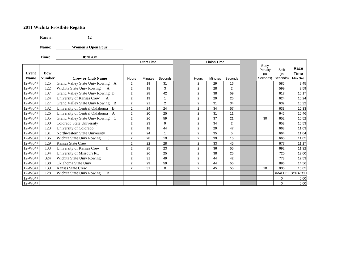**Race #: 12**

**Name: Women's Open Four**

**Time: 10:20 a.m.**

|             |               |                                            |                | <b>Start Time</b> |             |                | <b>Finish Time</b> |                |                 |             |                |
|-------------|---------------|--------------------------------------------|----------------|-------------------|-------------|----------------|--------------------|----------------|-----------------|-------------|----------------|
|             |               |                                            |                |                   |             |                |                    |                | Buoy<br>Penalty | Split       | Race           |
| Event       | Bow           |                                            |                |                   |             |                |                    |                | (In             | (In         | <b>Time</b>    |
| <b>Name</b> | <b>Number</b> | <b>Crew or Club Name</b>                   | Hours          | Minutes           | Seconds     | Hours          | <b>Minutes</b>     | Seconds        | Seconds)        | Seconds)    | Min.Sec        |
| $12-W04+$   | 125           | Grand Valley State Univ Rowing A           | $\overline{2}$ | 19                | 31          | 2              | 29                 | 16             |                 | 585         | 9.45           |
| $12-W04+$   | 122           | Wichita State Univ Rowing<br>A             | $\overline{2}$ | 18                | 3           | $\overline{2}$ | 28                 | $\overline{2}$ |                 | 599         | 9.59           |
| $12-W04+$   | 137           | Grand Valley State Univ Rowing D           | $\overline{2}$ | 28                | 42          | $\overline{2}$ | 38                 | 59             |                 | 617         | 10.17          |
| $12-W04+$   | 124           | University of Kansas Crew<br>A             | $\overline{2}$ | 19                | 1           | $\overline{2}$ | 29                 | 25             |                 | 624         | 10.24          |
| $12-W04+$   | 127           | Grand Valley State Univ Rowing<br>B        | $\overline{2}$ | 21                | 2           | $\overline{2}$ | 31                 | 34             |                 | 632         | 10.32          |
| $12-W04+$   | 132           | University of Central Oklahoma B           | $\overline{2}$ | 24                | 24          | $\overline{2}$ | 34                 | 57             |                 | 633         | 10.33          |
| $12-W04+$   | 126           | University of Central Oklahoma A           | $\overline{2}$ | 20                | 25          | $\overline{2}$ | 31                 | 11             |                 | 646         | 10.46          |
| $12-W04+$   | 135           | Grand Valley State Univ Rowing C           | $\overline{2}$ | 26                | 59          | $\overline{2}$ | 37                 | 21             | 30              | 652         | 10.52          |
| $12-W04+$   | 130           | Colorado State University                  | $\overline{2}$ | 23                | 9           | $\overline{2}$ | 34                 | $\overline{2}$ |                 | 653         | 10.53          |
| $12-W04+$   | 123           | University of Colorado                     | $\overline{2}$ | 18                | 44          | $\overline{2}$ | 29                 | 47             |                 | 663         | 11.03          |
| $12-W04+$   | 131           | Northwestern State University              | $\overline{2}$ | 24                | 1           | $\overline{2}$ | 35                 | 5              |                 | 664         | 11.04          |
| $12-W04+$   | 136           | Wichita State Univ Rowing<br>$\mathcal{C}$ | $\overline{2}$ | 28                | 10          | 2              | 39                 | 15             |                 | 665         | 11.05          |
| $12-W04+$   | 129           | Kansas State Crew                          | $\overline{2}$ | 22                | 28          | $\overline{2}$ | 33                 | 45             |                 | 677         | 11.17          |
| $12-W04+$   | 133           | B<br>University of Kansas Crew             | $\overline{2}$ | 25                | 23          | 2              | 36                 | 55             |                 | 692         | 11.32          |
| $12-W04+$   | 134           | University of Missouri RC                  | $\overline{2}$ | 26                | 25          | $\overline{2}$ | 38                 | 25             |                 | 720         | 12.00          |
| $12-W04+$   | 324           | Wichita State Univ Rowing                  | $\overline{2}$ | 31                | 49          | $\overline{2}$ | 44                 | 42             |                 | 773         | 12.53          |
| $12-W04+$   | 138           | Oklahoma State Univ                        | $\overline{2}$ | 29                | 59          | $\overline{2}$ | 44                 | 55             |                 | 896         | 14.56          |
| $12-W04+$   | 139           | <b>Kansas State Crew</b>                   | $\overline{2}$ | 31                | $\mathbf 0$ | $\overline{2}$ | 45                 | 55             | 10              | 905         | 15.05          |
| $12-W04+$   | 128           | Wichita State Univ Rowing<br>B             |                |                   |             |                |                    |                |                 | #VALUE!     | <b>SCRATCH</b> |
| $12-W04+$   |               |                                            |                |                   |             |                |                    |                |                 | 0           | 0.00           |
| $12-W04+$   |               |                                            |                |                   |             |                |                    |                |                 | $\mathbf 0$ | 0.00           |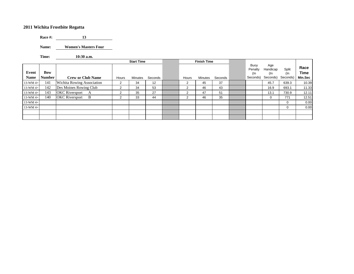**Race #: 13**

**Name: Women's Masters Four**

**Time: 10:30 a.m.**

|                      |                      |                            |       | <b>Start Time</b> |         |       | <b>Finish Time</b> |         |                                    |                                    |                          |                         |
|----------------------|----------------------|----------------------------|-------|-------------------|---------|-------|--------------------|---------|------------------------------------|------------------------------------|--------------------------|-------------------------|
| Event<br><b>Name</b> | Bow<br><b>Number</b> | <b>Crew or Club Name</b>   | Hours | <b>Minutes</b>    | Seconds | Hours | Minutes            | Seconds | Buoy<br>Penalty<br>(In<br>Seconds) | Age<br>Handicap<br>(In<br>Seconds) | Split<br>(In<br>Seconds) | Race<br>Time<br>Min.Sec |
| $13-WM$ 4+           | 141                  | Wichita Rowing Association | 2     | 34                | 12      | 2     | 45                 | 37      |                                    | 45.7                               | 639.3                    | 10.39                   |
| $13-WM$ 4+           | 142                  | Des Moines Rowing Club     | 2     | 34                | 53      | 2     | 46                 | 43      |                                    | 16.9                               | 693.1                    | 11.33                   |
| $13-WM$ 4+           | 143                  | <b>OKC</b> Riversport<br>A | っ     | 35                | 27      | 2     | 47                 | 51      |                                    | 13.1                               | 730.9                    | 12.11                   |
| 13-WM 4+             | 140                  | <b>OKC</b> Riversport<br>B | 2     | 33                | 44      | 2     | 46                 | 35      |                                    | 0                                  | 771                      | 12.51                   |
| 13-WM 4+             |                      |                            |       |                   |         |       |                    |         |                                    |                                    | $\mathbf 0$              | 0.00                    |
| $13-WM$ 4+           |                      |                            |       |                   |         |       |                    |         |                                    |                                    | $\mathbf 0$              | 0.00                    |
|                      |                      |                            |       |                   |         |       |                    |         |                                    |                                    |                          |                         |
|                      |                      |                            |       |                   |         |       |                    |         |                                    |                                    |                          |                         |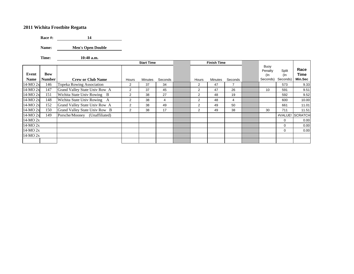**Race #: 14**

**Name: Men's Open Double**

**Time: 10:40 a.m.**

|              |               |                                  |                | <b>Start Time</b> |         |                | <b>Finish Time</b> |         |                           |              |                |
|--------------|---------------|----------------------------------|----------------|-------------------|---------|----------------|--------------------|---------|---------------------------|--------------|----------------|
| Event        | Bow           |                                  |                |                   |         |                |                    |         | Buoy<br>Penalty<br>$($ ln | Split<br>(In | Race<br>Time   |
| <b>Name</b>  | <b>Number</b> | <b>Crew or Club Name</b>         | Hours          | <b>Minutes</b>    | Seconds | Hours          | <b>Minutes</b>     | Seconds | Seconds)                  | Seconds)     | Min.Sec        |
| 14-MO 2x     | 146           | <b>Topeka Rowing Association</b> | $\overline{2}$ | 37                | 34      | $\overline{2}$ | 47                 | 7       |                           | 573          | 9.33           |
| 14-MO 2x     | 147           | Grand Valley State Univ Row A    | $\overline{2}$ | 37                | 45      | $\overline{2}$ | 47                 | 26      | 10                        | 591          | 9.51           |
| 14-MO 2x     | 151           | Wichita State Univ Rowing B      | $\overline{2}$ | 38                | 27      | $\overline{2}$ | 48                 | 19      |                           | 592          | 9.52           |
| 14-MO 2x     | 148           | Wichita State Univ Rowing A      | $\overline{2}$ | 38                | 4       | $\overline{2}$ | 48                 | 4       |                           | 600          | 10.00          |
| 14-MO 2x     | 152           | Grand Valley State Univ Row A    | $\overline{2}$ | 38                | 49      | 2              | 49                 | 50      |                           | 661          | 11.01          |
| 14-MO 2x     | 150           | Grand Valley State Univ Row B    | $\overline{2}$ | 38                | 17      | $\overline{2}$ | 49                 | 38      | 30                        | 711          | 11.51          |
| 14-MO 2x     | 149           | Porsche/Mooney (Unaffiliated)    |                |                   |         |                |                    |         |                           | #VALUE!      | <b>SCRATCH</b> |
| $14-MO$ $2x$ |               |                                  |                |                   |         |                |                    |         |                           | $\Omega$     | 0.00           |
| 14-MO 2x     |               |                                  |                |                   |         |                |                    |         |                           | $\mathbf 0$  | 0.00           |
| $14-MO$ $2x$ |               |                                  |                |                   |         |                |                    |         |                           | $\mathbf 0$  | 0.00           |
| $14-MO$ $2x$ |               |                                  |                |                   |         |                |                    |         |                           |              |                |
|              |               |                                  |                |                   |         |                |                    |         |                           |              |                |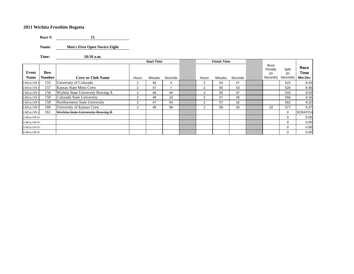**Race #: 15**

**Name: Men's First Open Novice Eight**

**Time: 10:50 a.m.**

|                      |                      |                                   |                | <b>Start Time</b> |         |                | <b>Finish Time</b> |         |                                    |                             |                         |
|----------------------|----------------------|-----------------------------------|----------------|-------------------|---------|----------------|--------------------|---------|------------------------------------|-----------------------------|-------------------------|
| Event<br><b>Name</b> | Bow<br><b>Number</b> | <b>Crew or Club Name</b>          | Hours          | <b>Minutes</b>    | Seconds | Hours          | Minutes            | Seconds | Buoy<br>Penalty<br>(In<br>Seconds) | Split<br>$($ ln<br>Seconds) | Race<br>Time<br>Min.Sec |
| 5-M1st ON 8          | 155                  | University of Colorado            | 2              | 46                | 4       | 2              | 54                 | 47      |                                    | 523                         | 8.43                    |
| $5-M1st ON8$         | 157                  | Kansas State Mens Crew            | 2              | 47                |         | 2              | 55                 | 53      |                                    | 526                         | 8.46                    |
| 5-M1st ON 8          | 156                  | Wichita State University Rowing A | $\overline{2}$ | 46                | 44      | 2              | 55                 | 47      |                                    | 543                         | 9.03                    |
| 5-M1st ON 8          | 159                  | Colorado State University         | 2              | 48                | 10      | 2              | 57                 | 26      |                                    | 556                         | 9.16                    |
| 5-M1st ON 8          | 158                  | Northwestern State University     | $\overline{2}$ | 47                | 54      | $\overline{2}$ | 57                 | 16      |                                    | 562                         | 9.22                    |
| 5-M1st ON 8          | 160                  | University of Kansas Crew         | $\overline{2}$ | 48                | 59      | 2              | 58                 | 26      | 10                                 | 577                         | 9.37                    |
| 5-M1st ON 8          | 161                  | Wichita State University Rowing B |                |                   |         |                |                    |         |                                    | $\Omega$                    | <b>SCRATCH</b>          |
| 5-M1st ON 8+         |                      |                                   |                |                   |         |                |                    |         |                                    | $\Omega$                    | 0.00                    |
| 5-M1st ON 8+         |                      |                                   |                |                   |         |                |                    |         |                                    | $\Omega$                    | 0.00                    |
| 5-M1st ON 8+         |                      |                                   |                |                   |         |                |                    |         |                                    | $\Omega$                    | 0.00                    |
| 5-M1st ON 8+         |                      |                                   |                |                   |         |                |                    |         |                                    | $\mathbf 0$                 | 0.00                    |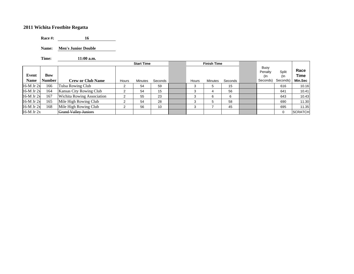**Race #: 16**16

**Name: Men's Junior Double**

**Time: 11:00 a.m.**

|                      |                             |                                   |       | <b>Start Time</b> |         |       | <b>Finish Time</b> |         |                                    |                          |                         |
|----------------------|-----------------------------|-----------------------------------|-------|-------------------|---------|-------|--------------------|---------|------------------------------------|--------------------------|-------------------------|
| Event<br><b>Name</b> | <b>Bow</b><br><b>Number</b> | <b>Crew or Club Name</b>          | Hours | Minutes           | Seconds | Hours | Minutes            | Seconds | Buoy<br>Penalty<br>(In<br>Seconds) | Split<br>(In<br>Seconds) | Race<br>Time<br>Min.Sec |
| $16-M$ Jr $2x$       | 166                         | <b>Tulsa Rowing Club</b>          | 2     | 54                | 59      |       |                    | 15      |                                    | 616                      | 10.16                   |
| $16-M$ Jr $2x$       | 164                         | Kansas City Rowing Club           |       | 54                | 15      |       |                    | 56      |                                    | 641                      | 10.41                   |
| $16-M$ Jr $2x$       | 167                         | <b>Wichita Rowing Association</b> | 2     | 55                | 23      |       | 6                  | 6       |                                    | 643                      | 10.43                   |
| 16-M Jr 2x           | 165                         | Mile High Rowing Club             | ◠     | 54                | 28      |       | 5                  | 58      |                                    | 690                      | 11.30                   |
| 16-M Jr 2x           | 168                         | Mile High Rowing Club             | ⌒     | 56                | 10      |       |                    | 45      |                                    | 695                      | 11.35                   |
| $16-M$ Jr $2x$       |                             | <b>Grand Valley Juniors</b>       |       |                   |         |       |                    |         |                                    | $\Omega$                 | <b>SCRATCH</b>          |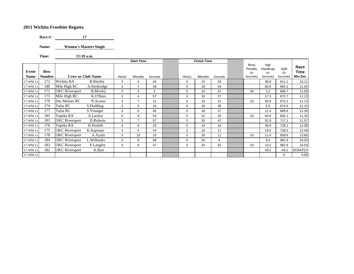**Race #:**  $\qquad \qquad$  $17$ 

**Name: Women's Masters Single**

**Time: 11:10 a.m.**

|             |               |                       |                          |       | <b>Start Time</b> |         |       | <b>Finish Time</b> |         |                        |                        |              |                |
|-------------|---------------|-----------------------|--------------------------|-------|-------------------|---------|-------|--------------------|---------|------------------------|------------------------|--------------|----------------|
| Event       | <b>Bow</b>    |                       |                          |       |                   |         |       |                    |         | Buoy<br>Penalty<br>(In | Age<br>Handicap<br>(In | Split<br>(In | Race<br>Time   |
| <b>Name</b> | <b>Number</b> |                       | <b>Crew or Club Name</b> | Hours | <b>Minutes</b>    | Seconds | Hours | <b>Minutes</b>     | Seconds | Seconds)               | Seconds)               | Seconds)     | Min.Sec        |
| 17-WM 1x    | 172           | Wichita RA            | <b>B.Ritchie</b>         | 3     | 4                 | 44      | 3     | 15                 | 34      |                        | 38.9                   | 611.1        | 10.11          |
| 17-WM 1x    | 180           | Mile High RC          | A.Strobridge             | 3     | $\overline{7}$    | 39      | 3     | 19                 | 44      |                        | 60.8                   | 664.2        | 11.04          |
| 17-WM 1x    | 171           | <b>OKC</b> Riversport | H.Mosley                 | 3     | 4                 | 5       | 3     | 14                 | 47      | 30                     | 3.3                    | 668.7        | 11.09          |
| 17-WM 1x    | 173           | Mile High RC          | K.O'Hara                 | 3     | $\overline{4}$    | 57      | 3     | 16                 | 27      |                        | 17.3                   | 672.7        | 11.13          |
| 17-WM 1x    | 179           | Des Moines RC         | N.Acosta                 | 3     | $\overline{7}$    | 12      | 3     | 19                 | 12      | 10                     | 56.8                   | 673.2        | 11.13          |
| 17-WM 1x    | 174           | Tulsa RC              | S.Dudding                | 3     | 5                 | 16      | 3     | 16                 | 36      |                        | 5.5                    | 674.5        | 11.15          |
| 17-WM 1x    | 177           | Tulsa RC              | S.Younger                | 3     | 6                 | 46      | 3     | 18                 | 27      |                        | 11.4                   | 689.6        | 11.30          |
| 17-WM 1x    | 185           | Topeka RA             | A.Lackey                 | 3     | 9                 | 53      | 3     | 22                 | 20      | 10                     | 64.9                   | 692.1        | 11.32          |
| 17-WM 1x    | 181           | <b>OKC</b> Riversport | D.Roberts                | 3     | $\overline{7}$    | 57      | 3     | 20                 | 47      |                        | 52.9                   | 717.1        | 11.57          |
| 17-WM 1x    | 176           | Topeka RA             | K.Hosfelt                | 3     | 6                 | 23      | 3     | 19                 | 10      |                        | 38.9                   | 728.1        | 12.08          |
| 17-WM 1x    | 175           | <b>OKC</b> Riversport | K.Kapraun                | 3     | 5                 | 43      | 3     | 18                 | 11      |                        | 19.5                   | 728.5        | 12.09          |
| 17-WM 1x    | 178           | <b>OKC</b> Riversport | A.Ayala                  | 3     | 15                | 10      | 3     | 29                 | 11      | 10                     | 11.4                   | 839.6        | 13.60          |
| 17-WM 1x    | 184           | <b>OKC</b> Riversport | L.Wilbanks               | 3     | 8                 | 58      | 3     | 25                 | 6       |                        | 5.5                    | 962.5        | 16.03          |
| 17-WM 1x    | 183           | <b>OKC</b> Riversport | P.Langley                | 3     | 8                 | 47      | 3     | 24                 | 53      | 10                     | 13.2                   | 962.8        | 16.03          |
| 17-WM 1x    | 182           | <b>OKC</b> Riversport | K.Barr                   |       |                   |         |       |                    |         |                        | 49.2                   | $-49.2$      | <b>SCRATCH</b> |
| 17-WM 1x    |               |                       |                          |       |                   |         |       |                    |         |                        |                        | $\mathbf 0$  | 0.00           |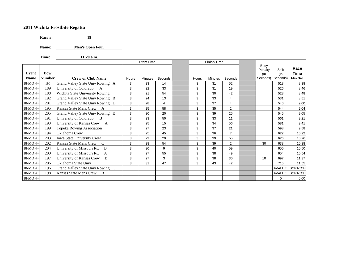**Race #: 18**

Name: **Men's Open Four** 

**Time: 11:20 a.m.**

|             |            |                                             |       | <b>Start Time</b> |                |       | <b>Finish Time</b> |                |                        |                 |                 |
|-------------|------------|---------------------------------------------|-------|-------------------|----------------|-------|--------------------|----------------|------------------------|-----------------|-----------------|
| Event       | <b>Bow</b> |                                             |       |                   |                |       |                    |                | Buoy<br>Penalty<br>(In | Split<br>$($ ln | Race<br>Time    |
| <b>Name</b> | Number     | <b>Crew or Club Name</b>                    | Hours | <b>Minutes</b>    | Seconds        | Hours | <b>Minutes</b>     | Seconds        | Seconds)               | Seconds)        | Min.Sec         |
| 18-MO 4+    | 190        | Grand Valley State Univ Rowing A            | 3     | 23                | 14             | 3     | 31                 | 52             |                        | 518             | 8.38            |
| 18-MO 4+    | 189        | University of Colorado<br>A                 | 3     | 22                | 33             | 3     | 31                 | 19             |                        | 526             | 8.46            |
| 18-MO 4+    | 188        | Wichita State University Rowing             | 3     | 21                | 54             | 3     | 30                 | 42             |                        | 528             | 8.48            |
| 18-MO 4+    | 192        | Grand Valley State Univ Rowing B            | 3     | 24                | 13             | 3     | 33                 | 4              |                        | 531             | 8.51            |
| 18-MO 4+    | 201        | Grand Valley State Univ Rowing D            | 3     | 28                | $\overline{4}$ | 3     | 37                 | $\overline{4}$ |                        | 540             | 9.00            |
| 18-MO 4+    | 195        | Kansas State Mens Crew A                    | 3     | 25                | 58             | 3     | 35                 | $\overline{2}$ |                        | 544             | 9.04            |
| 18-MO 4+    | 205        | Grand Valley State Univ Rowing E            | 3     | 30                | 20             | 3     | 39                 | 25             |                        | 545             | 9.05            |
| 18-MO 4+    | 191        | University of Colorado<br>$\overline{B}$    | 3     | 23                | 50             | 3     | 33                 | 11             |                        | 561             | 9.21            |
| 18-MO 4+    | 193        | University of Kansas Crew A                 | 3     | 25                | 15             | 3     | 34                 | 56             |                        | 581             | 9.41            |
| 18-MO 4+    | 199        | Topeka Rowing Association                   | 3     | 27                | 23             | 3     | 37                 | 21             |                        | 598             | 9.58            |
| 18-MO 4+    | 194        | Oklahoma Crew                               | 3     | 25                | 45             | 3     | 36                 | $\overline{7}$ |                        | 622             | 10.22           |
| 18-MO 4+    | 203        | <b>Iowa State University Crew</b>           | 3     | 29                | 29             | 3     | 39                 | 55             |                        | 626             | 10.26           |
| 18-MO 4+    | 202        | Kansas State Mens Crew<br>C                 | 3     | 28                | 54             | 3     | 39                 | $\overline{2}$ | 30                     | 638             | 10.38           |
| 18-MO 4+    | 204        | University of Missouri RC<br>B              | 3     | 30                | 9              | 3     | 40                 | 59             |                        | 650             | 10.50           |
| 18-MO 4+    | 200        | University of Missouri RC<br>$\mathbf{A}$   | 3     | 27                | 55             | 3     | 38                 | 49             |                        | 654             | 10.54           |
| 18-MO 4+    | 197        | University of Kansas Crew<br>$\overline{B}$ | 3     | 27                | 3              | 3     | 38                 | 30             | 10                     | 697             | 11.37           |
| 18-MO 4+    | 206        | Oklahoma State Univ                         | 3     | 31                | 47             | 3     | 43                 | 42             |                        | 715             | 11.55           |
| 18-MO 4+    | 196        | Grand Valley State Univ Rowing C            |       |                   |                |       |                    |                |                        |                 | #VALUE! SCRATCH |
| $18-MO$ 4+  | 198        | Kansas State Mens Crew<br>B                 |       |                   |                |       |                    |                |                        |                 | #VALUE! SCRATCH |
| 18-MO 4+    |            |                                             |       |                   |                |       |                    |                |                        | $\Omega$        | 0.00            |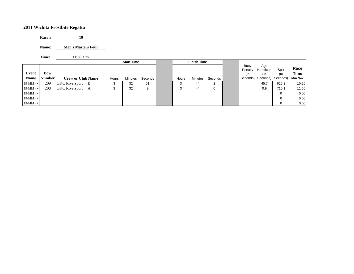**Race #: 19**19

**Name: Men's Masters Four**

**Time: 11:30 a.m.**

|                      |                             |                              |       | <b>Start Time</b> |         |       | <b>Finish Time</b> |         |                                    |                                             |              |                         |
|----------------------|-----------------------------|------------------------------|-------|-------------------|---------|-------|--------------------|---------|------------------------------------|---------------------------------------------|--------------|-------------------------|
| Event<br><b>Name</b> | <b>Bow</b><br><b>Number</b> | <b>Crew or Club Name</b>     | Hours | Minutes           | Seconds | Hours | Minutes            | Seconds | Buoy<br>Penalty<br>(In<br>Seconds) | Age<br>Handicap<br>(In<br>Seconds) Seconds) | Split<br>(In | Race<br>Time<br>Min.Sec |
| $19-MM +$            | 209                         | <b>OKC</b> Riversport<br>– B | 3     | 32                | 51      | 3     | 44                 | ົ<br>∠  |                                    | 45.7                                        | 625.3        | 10.25                   |
| 19-MM 4+             | 208                         | <b>OKC</b> Riversport        | 3     | 32                | 9       | 3     | 44                 | 0       |                                    | 0.9                                         | 710.1        | 11.50                   |
| $19-MM +$            |                             |                              |       |                   |         |       |                    |         |                                    |                                             | 0            | 0.00                    |
| $19-MM +$            |                             |                              |       |                   |         |       |                    |         |                                    |                                             | 0            | 0.00                    |
| 19-MM 4+             |                             |                              |       |                   |         |       |                    |         |                                    |                                             | 0            | 0.00                    |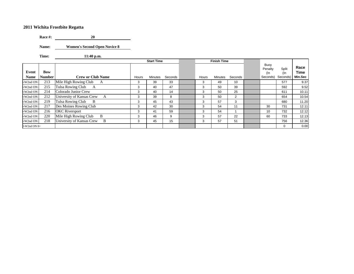**Race #: 20** 

**Name: Women's Second Open Novice 8**

 $\overline{\phantom{a}}$ 

**Time: 11:40 p.m.**

|                      |                      |                                       |       | <b>Start Time</b> |         |       | <b>Finish Time</b> |         |                                       |                          |                         |
|----------------------|----------------------|---------------------------------------|-------|-------------------|---------|-------|--------------------|---------|---------------------------------------|--------------------------|-------------------------|
| Event<br><b>Name</b> | <b>Bow</b><br>Number | <b>Crew or Club Name</b>              | Hours | Minutes           | Seconds | Hours | <b>Minutes</b>     | Seconds | Buoy<br>Penalty<br>$(\ln$<br>Seconds) | Split<br>(In<br>Seconds) | Race<br>Time<br>Min.Sec |
| -W2nd ON             | 213                  | Mile High Rowing Club<br>A            | 3     | 39                | 33      | 3     | 49                 | 10      |                                       | 577                      | 9.37                    |
| -W2nd ON             | 215                  | Tulsa Rowing Club<br>A                | 3     | 40                | 47      | 3     | 50                 | 39      |                                       | 592                      | 9.52                    |
| -W2nd ON             | 214                  | Colorado Junior Crew                  | 3     | 40                | 14      | 3     | 50                 | 25      |                                       | 611                      | 10.11                   |
| -W2nd ON             | 212                  | University of Kansas Crew<br>A        | 3     | 39                | 8       | 3     | 50                 | 2       |                                       | 654                      | 10.54                   |
| -W2nd ON             | 219                  | Tulsa Rowing Club<br>- B              | 3     | 45                | 43      | 3     | 57                 | 3       |                                       | 680                      | 11.20                   |
| -W2nd ON             | 217                  | Des Moines Rowing Club                | 3     | 42                | 30      | 3     | 54                 | 11      | 30                                    | 731                      | 12.11                   |
| -W2nd ON             | 216                  | <b>OKC</b> Riversport                 | 3     | 41                | 59      | 3     | 54                 |         | 10                                    | 732                      | 12.12                   |
| -W2nd ON             | 220                  | Mile High Rowing Club<br><sup>B</sup> | 3     | 46                | 9       | 3     | 57                 | 22      | 60                                    | 733                      | 12.13                   |
| -W2nd ON             | 218                  | University of Kansas Crew<br>B        | 3     | 45                | 15      | 3     | 57                 | 51      |                                       | 756                      | 12.36                   |
| $0-W2nd ON 8+$       |                      |                                       |       |                   |         |       |                    |         |                                       | $\Omega$                 | 0.00                    |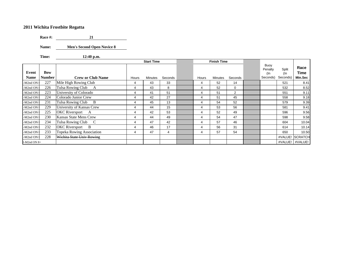**Race #: 21**21

**Name: Men's Second Open Novice 8**

**Time: 12:40 p.m.**

|              |               |                                     |       | <b>Start Time</b> |         |                | <b>Finish Time</b> |                |                        |              |                 |
|--------------|---------------|-------------------------------------|-------|-------------------|---------|----------------|--------------------|----------------|------------------------|--------------|-----------------|
| Event        | <b>Bow</b>    |                                     |       |                   |         |                |                    |                | Buoy<br>Penalty<br>(In | Split<br>(In | Race<br>Time    |
| Name         | <b>Number</b> | <b>Crew or Club Name</b>            | Hours | <b>Minutes</b>    | Seconds | Hours          | Minutes            | Seconds        | Seconds)               | Seconds)     | Min.Sec         |
| M2nd ON      | 227           | Mile High Rowing Club               |       | 43                | 33      | 4              | 52                 | 14             |                        | 521          | 8.41            |
| M2nd ON      | 226           | Tulsa Rowing Club<br>A              | 4     | 43                | 8       | 4              | 52                 | $\Omega$       |                        | 532          | 8.52            |
| M2nd ON      | 223           | University of Colorado              | 4     | 41                | 51      | 4              | 51                 | $\overline{2}$ |                        | 551          | 9.11            |
| M2nd ON      | 224           | Colorado Junior Crew                |       | 42                | 27      | 4              | 51                 | 45             |                        | 558          | 9.18            |
| M2nd ON      | 231           | Tulsa Rowing Club<br>-B             | 4     | 45                | 13      | 4              | 54                 | 52             |                        | 579          | 9.39            |
| M2nd ON      | 229           | University of Kansas Crew           | 4     | 44                | 15      | 4              | 53                 | 56             |                        | 581          | 9.41            |
| M2nd ON      | 225           | OKC Riversport A                    | 4     | 42                | 53      | 4              | 52                 | 49             |                        | 596          | 9.56            |
| M2nd ON      | 230           | Kansas State Mens Crew              | 4     | 44                | 49      | 4              | 54                 | 47             |                        | 598          | 9.58            |
| M2nd ON      | 234           | Tulsa Rowing Club<br><sup>-</sup> C | 4     | 47                | 42      | 4              | 57                 | 46             |                        | 604          | 10.04           |
| M2nd ON      | 232           | <b>OKC</b> Riversport<br>- B        | 4     | 46                | 17      | $\overline{4}$ | 56                 | 31             |                        | 614          | 10.14           |
| -M2nd ON     | 233           | Topeka Rowing Association           | 4     | 47                | 4       | 4              | 57                 | 54             |                        | 650          | 10.50           |
| M2nd ON      | 228           | Wichita State Univ Rowing           |       |                   |         |                |                    |                |                        | #VALUE!      | <b>SCRATCH</b>  |
| 1-M2nd ON 8+ |               |                                     |       |                   |         |                |                    |                |                        |              | #VALUE! #VALUE! |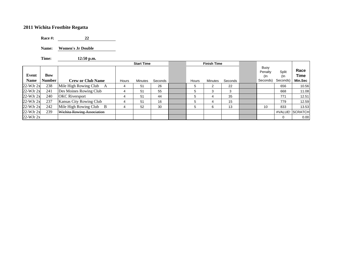**Race #:** 22

**Name: Women's Jr Double**

**Time: 12:50 p.m.**

|               |               |                              |       | <b>Start Time</b> |         |       | <b>Finish Time</b> |         |                        |              |                     |
|---------------|---------------|------------------------------|-------|-------------------|---------|-------|--------------------|---------|------------------------|--------------|---------------------|
| Event         | Bow           |                              |       |                   |         |       |                    |         | Buoy<br>Penalty<br>(In | Split<br>(In | Race<br><b>Time</b> |
| <b>Name</b>   | <b>Number</b> | <b>Crew or Club Name</b>     | Hours | Minutes           | Seconds | Hours | Minutes            | Seconds | Seconds)               | Seconds)     | Min.Sec             |
| $22-WJr$ $2x$ | 238           | Mile High Rowing Club<br>A   | 4     | 51                | 26      |       | ົ<br>∠             | 22      |                        | 656          | 10.56               |
| $22-WJr$ $2x$ | 241           | Des Moines Rowing Club       | 4     | 51                | 55      |       | 3                  | 3       |                        | 668          | 11.08               |
| $22-WJr 2x$   | 240           | <b>OKC</b> Riversport        | 4     | 51                | 44      |       | 4                  | 35      |                        | 771          | 12.51               |
| $22-WJr$ $2x$ | 237           | Kansas City Rowing Club      | 4     | 51                | 16      |       | 4                  | 15      |                        | 779          | 12.59               |
| $22-WJr$ $2x$ | 242           | Mile High Rowing Club<br>- B | 4     | 52                | 30      |       | 6                  | 13      | 10                     | 833          | 13.53               |
| $22-WJr$ $2x$ | 239           | Wichita Rowing Association   |       |                   |         |       |                    |         |                        |              | #VALUE! SCRATCH     |
| $22-WJr 2x$   |               |                              |       |                   |         |       |                    |         |                        | $\Omega$     | 0.00                |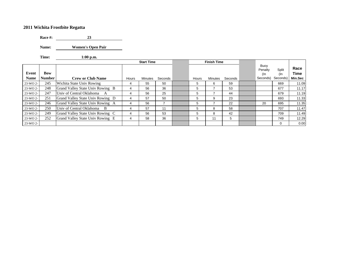**Race #: 23**

**Name: Women's Open Pair**

**Time: 1:00 p.m.**

|                      |                             |                                  |       | <b>Start Time</b> |         |       | <b>Finish Time</b> |         |                                       |                          |                         |
|----------------------|-----------------------------|----------------------------------|-------|-------------------|---------|-------|--------------------|---------|---------------------------------------|--------------------------|-------------------------|
| Event<br><b>Name</b> | <b>Bow</b><br><b>Number</b> | <b>Crew or Club Name</b>         | Hours | Minutes           | Seconds | Hours | Minutes            | Seconds | Buoy<br>Penalty<br>$($ ln<br>Seconds) | Split<br>(In<br>Seconds) | Race<br>Time<br>Min.Sec |
| 23-WO 2-             | 245                         | Wichita State Univ Rowing        | 4     | 55                | 50      | 5     | 6                  | 59      |                                       | 669                      | 11.09                   |
| 23-WO 2-             | 248                         | Grand Valley State Univ Rowing B | 4     | 56                | 36      | 5     |                    | 53      |                                       | 677                      | 11.17                   |
| 23-WO 2-             | 247                         | Univ of Central Oklahoma A       | 4     | 56                | 25      | 5     |                    | 44      |                                       | 679                      | 11.19                   |
| 23-WO 2-             | 251                         | Grand Valley State Univ Rowing D | 4     | 57                | 50      | 5     | 9                  | 23      |                                       | 693                      | 11.33                   |
| 23-WO 2-             | 246                         | Grand Valley State Univ Rowing A | 4     | 56                |         | 5     |                    | 22      | 20                                    | 695                      | 11.35                   |
| 23-WO 2-             | 250                         | Univ of Central Oklahoma B       | 4     | 57                | 11      | 5     | 8                  | 58      |                                       | 707                      | 11.47                   |
| 23-WO 2-             | 249                         | Grand Valley State Univ Rowing C | 4     | 56                | 53      | 5     | 8                  | 42      |                                       | 709                      | 11.49                   |
| 23-WO 2-             | 252                         | Grand Valley State Univ Rowing E | 4     | 58                | 36      | 5     | 11                 | 5       |                                       | 749                      | 12.29                   |
| 23-WO 2-             |                             |                                  |       |                   |         |       |                    |         |                                       | 0                        | 0.00                    |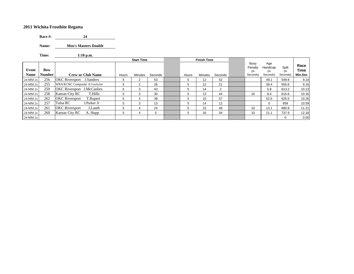**Race #:**  $24$ 

**Name: Men's Masters Double**

**Time: 1:10 p.m.**

|                      |                             |                                   |       | <b>Start Time</b> |         |       | <b>Finish Time</b> |         |                                       |                                    |                          |                         |
|----------------------|-----------------------------|-----------------------------------|-------|-------------------|---------|-------|--------------------|---------|---------------------------------------|------------------------------------|--------------------------|-------------------------|
| Event<br><b>Name</b> | <b>Bow</b><br><b>Number</b> | <b>Crew or Club Name</b>          | Hours | <b>Minutes</b>    | Seconds | Hours | Minutes            | Seconds | Buoy<br>Penalty<br>$($ ln<br>Seconds) | Age<br>Handicap<br>(In<br>Seconds) | Split<br>(In<br>Seconds) | Race<br>Time<br>Min.Sec |
| 24-MM 2x             | 256                         | <b>OKC</b> Riversport J.Sanders   | 5     | 2                 | 53      | 5     | 12                 | 52      |                                       | 49.1                               | 549.9                    | 9.10                    |
| 24-MM 2x             | 255                         | WRA/KCRC Composite B.VanSickle    | 5     | 2                 | 26      | 5     | 12                 | 21      |                                       | 39.4                               | 555.6                    | 9.16                    |
| 24-MM 2x             | 259                         | <b>OKC</b> Riversport J.McCanlies | 5     | 3                 | 43      | 5     | 14                 | 2       |                                       | 5.8                                | 613.2                    | 10.13                   |
| 24-MM 2x             | 258                         | T.Hills<br>Kansas City RC         | 5     | 3                 | 30      | .h    | 13                 | 44      | 10                                    | 8.4                                | 615.6                    | 10.16                   |
| 24-MM 2x             | 262                         | <b>OKC</b> Riversport<br>T.Rupert | 5     | 4                 | 39      | Ð     | 15                 | 57      |                                       | 52.5                               | 625.5                    | 10.26                   |
| 24-MM 2x             | 257                         | Tulsa RC<br>J.Parker Jr           | 5     | 3                 | 13      | 5     | 14                 | 12      |                                       | 0                                  | 659                      | 10.59                   |
| 24-MM 2x             | 261                         | <b>OKC</b> Riversport<br>J.Lauth  | 5     | 4                 | 24      | 5     | 15                 | 48      | 10                                    | 13.1                               | 680.9                    | 11.21                   |
| 24-MM 2x             | 260                         | Kansas City RC<br>A. Hupp         | 5     | 4                 | 5       | 5     | 16                 | 34      | 10                                    | 21.1                               | 737.9                    | 12.18                   |
| 24-MM 2x             |                             |                                   |       |                   |         |       |                    |         |                                       |                                    | $\Omega$                 | 0.00                    |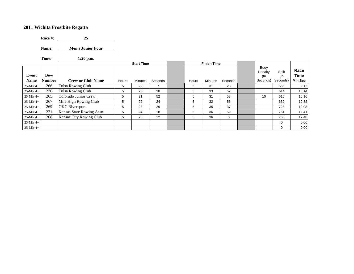**Race #: 25**

**Name: Men's Junior Four**

**Time: 1:20 p.m.**

|                      |                             |                          |       | <b>Start Time</b> |         |       | <b>Finish Time</b> |         |                                    |                          |                                |
|----------------------|-----------------------------|--------------------------|-------|-------------------|---------|-------|--------------------|---------|------------------------------------|--------------------------|--------------------------------|
| Event<br><b>Name</b> | <b>Bow</b><br><b>Number</b> | <b>Crew or Club Name</b> | Hours | <b>Minutes</b>    | Seconds | Hours | <b>Minutes</b>     | Seconds | Buoy<br>Penalty<br>(In<br>Seconds) | Split<br>(In<br>Seconds) | Race<br><b>Time</b><br>Min.Sec |
| $25-MJr$ 4+          | 266                         | Tulsa Rowing Club        | 5     | 22                |         | 5     | 31                 | 23      |                                    | 556                      | 9.16                           |
| $25-MJr$ 4+          | 270                         | Tulsa Rowing Club        | 5     | 23                | 38      | 5     | 33                 | 52      |                                    | 614                      | 10.14                          |
| 25-MJr 4+            | 265                         | Colorado Junior Crew     | 5     | 21                | 52      | 5     | 31                 | 58      | 10                                 | 616                      | 10.16                          |
| $25-MJr$ 4+          | 267                         | Mile High Rowing Club    | 5     | 22                | 24      | 5     | 32                 | 56      |                                    | 632                      | 10.32                          |
| 25-MJr 4+            | 269                         | <b>OKC</b> Riversport    | 5     | 23                | 29      | 5     | 35                 | 37      |                                    | 728                      | 12.08                          |
| $25-MJr$ 4+          | 271                         | Kansas State Rowing Assn | 5     | 24                | 18      | 5     | 36                 | 59      |                                    | 761                      | 12.41                          |
| $25-MJr$ 4+          | 268                         | Kansas City Rowing Club  | 5     | 23                | 12      | 5     | 36                 | 0       |                                    | 768                      | 12.48                          |
| $25-MJr$ 4+          |                             |                          |       |                   |         |       |                    |         |                                    | 0                        | 0.00                           |
| $25-MJr$ 4+          |                             |                          |       |                   |         |       |                    |         |                                    | $\mathbf 0$              | 0.00                           |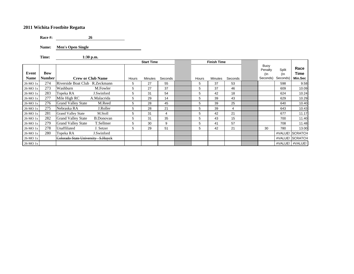**Race #: 26** $26$ 

**Name: Men's Open Single**

**Time: 1:30 p.m.**

|          |               |                                   |                          |       | <b>Start Time</b> |         |       | <b>Finish Time</b> |         |                        |              |                 |
|----------|---------------|-----------------------------------|--------------------------|-------|-------------------|---------|-------|--------------------|---------|------------------------|--------------|-----------------|
| Event    | Bow           |                                   |                          |       |                   |         |       |                    |         | Buoy<br>Penalty<br>(In | Split<br>(In | Race<br>Time    |
| Name     | <b>Number</b> |                                   | <b>Crew or Club Name</b> | Hours | Minutes           | Seconds | Hours | Minutes            | Seconds | Seconds)               | Seconds)     | Min.Sec         |
| 26-MO 1x | 274           | Riverside Boat Club R.Zeckmann    |                          | 5     | 27                | 55      | 5     | 37                 | 53      |                        | 598          | 9.58            |
| 26-MO 1x | 273           | Washburn                          | M.Fowler                 | 5     | 27                | 37      | 5     | 37                 | 46      |                        | 609          | 10.09           |
| 26-MO 1x | 283           | Topeka RA                         | J.Swinford               | 5     | 31                | 54      | 5     | 42                 | 18      |                        | 624          | 10.24           |
| 26-MO 1x | 277           | Mile High RC                      | A.Malacrida              | 5     | 29                | 14      | 5     | 39                 | 43      |                        | 629          | 10.29           |
| 26-MO 1x | 276           | <b>Grand Valley State</b>         | M.Reed                   | 5     | 28                | 45      | 5     | 39                 | 25      |                        | 640          | 10.40           |
| 26-MO 1x | 275           | Nebraska RA                       | J.Roller                 | 5     | 28                | 21      | 5     | 39                 | 4       |                        | 643          | 10.43           |
| 26-MO 1x | 281           | <b>Grand Valley State</b>         | M.Stoll                  | 5     | 31                | 4       | 5     | 42                 | 21      |                        | 677          | 11.17           |
| 26-MO 1x | 282           | <b>Grand Valley State</b>         | <b>B.Donovan</b>         | 5     | 31                | 35      | 5     | 43                 | 15      |                        | 700          | 11.40           |
| 26-MO 1x | 279           | <b>Grand Valley State</b>         | T.Sellmer                | 5     | 30                | 9       | 5     | 41                 | 57      |                        | 708          | 11.48           |
| 26-MO 1x | 278           | Unaffiliated                      | J. Setzer                | 5     | 29                | 51      | 5     | 42                 | 21      | 30                     | 780          | 13.00           |
| 26-MO 1x | 280           | Topeka RA                         | J.Swinford               |       |                   |         |       |                    |         |                        |              | #VALUE! SCRATCH |
| 26-MO 1x |               | Colorado State University S.Huyck |                          |       |                   |         |       |                    |         |                        |              | #VALUE! SCRATCH |
| 26-MO 1x |               |                                   |                          |       |                   |         |       |                    |         |                        |              | #VALUE! #VALUE! |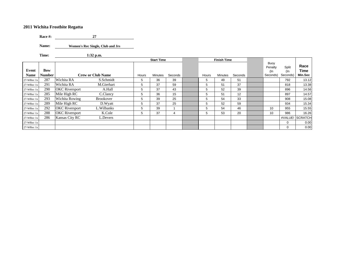**Race #: 27** $27$ 

**Name:Women's Rec Single, Club and Jrs**

**Time: 1:32 p.m.**

|                      |                      |                       |                          |       | <b>Start Time</b> |         |       | <b>Finish Time</b> |         |                                    |                          |                         |
|----------------------|----------------------|-----------------------|--------------------------|-------|-------------------|---------|-------|--------------------|---------|------------------------------------|--------------------------|-------------------------|
| Event<br><b>Name</b> | Bow<br><b>Number</b> |                       | <b>Crew or Club Name</b> | Hours | Minutes           | Seconds | Hours | <b>Minutes</b>     | Seconds | Buoy<br>Penalty<br>(In<br>Seconds) | Split<br>(In<br>Seconds) | Race<br>Time<br>Min.Sec |
| 27-WRec 1x           | 287                  | Wichita RA            | S.Schmidt                | 5     | 36                | 39      | 5     | 49                 | 51      |                                    | 792                      | 13.12                   |
| 27-WRec 1x           | 291                  | Wichita RA            | M.Gierhart               | 5     | 37                | 59      | 5     | 51                 | 37      |                                    | 818                      | 13.38                   |
| 27-WRec 1x           | 290                  | <b>OKC</b> Riversport | A.Hall                   | 5     | 37                | 43      | 5     | 52                 | 39      |                                    | 896                      | 14.56                   |
| 27-WRec 1x           | 285                  | Mile High RC          | C.Clancy                 | 5     | 36                | 15      | 5     | 51                 | 12      |                                    | 897                      | 14.57                   |
| 27-WRec 1x           | 293                  | Wichita Rowing        | <b>Brookover</b>         | 5     | 39                | 25      | 5     | 54                 | 33      |                                    | 908                      | 15.08                   |
| 27-WRec 1x           | 289                  | Mile High RC          | D.Wyatt                  | 5     | 37                | 25      | 5     | 52                 | 59      |                                    | 934                      | 15.34                   |
| 27-WRec 1x           | 292                  | <b>OKC</b> Riversport | L.Wilbanks               | 5     | 39                |         | 5     | 54                 | 46      | 10                                 | 955                      | 15.55                   |
| 27-WRec 1x           | 288                  | <b>OKC</b> Riversport | K.Cole                   | 5     | 37                | 4       | 5     | 53                 | 20      | 10                                 | 986                      | 16.26                   |
| 27-WRec 1x           | 286                  | Kansas City RC        | L.Devers                 |       |                   |         |       |                    |         |                                    | #VALUE!                  | <b>SCRATCH</b>          |
| 27-WRec 1x           |                      |                       |                          |       |                   |         |       |                    |         |                                    | $\mathbf 0$              | 0.00                    |
| 27-WRec 1x           |                      |                       |                          |       |                   |         |       |                    |         |                                    | $\Omega$                 | 0.00                    |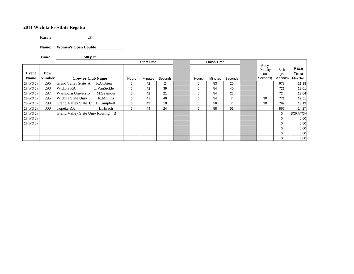**Race #:** 28

**Name: Women's Open Double**

**Time: 1:40 p.m.**

|          |               |                                         |             |       | <b>Start Time</b> |                |       | <b>Finish Time</b> |         |                        |              |                |
|----------|---------------|-----------------------------------------|-------------|-------|-------------------|----------------|-------|--------------------|---------|------------------------|--------------|----------------|
| Event    | <b>Bow</b>    |                                         |             |       |                   |                |       |                    |         | Buoy<br>Penalty<br>(In | Split<br>(In | Race<br>Time   |
| Name     | <b>Number</b> | <b>Crew or Club Name</b>                |             | Hours | Minutes           | Seconds        | Hours | Minutes            | Seconds | Seconds)               | Seconds)     | Min.Sec        |
| 28-WO 2x | 296           | Grand Valley State A                    | K.O'Brien   | 5     | 42                | $\overline{2}$ | 5     | 53                 | 20      |                        | 678          | 11.18          |
| 28-WO 2x | 298           | Wichita RA                              | C.VanSickle | 5     | 42                | 39             | 5     | 54                 | 40      |                        | 721          | 12.01          |
| 28-WO 2x | 297           | <b>Washburn University</b>              | M.Seymour   | 5     | 42                | 21             | 5     | 54                 | 25      |                        | 724          | 12.04          |
| 28-WO 2x | 295           | Wichita State Univ                      | K.Mullins   | 5     | 41                | 46             | 5     | 54                 |         | 30                     | 771          | 12.51          |
| 28-WO 2x | 299           | Grand Valley State C                    | D.Campbell  | 5     | 43                | 18             | 5     | 56                 |         | 30                     | 799          | 13.19          |
| 28-WO 2x | 300           | Topeka RA                               | L.Hirsch    | 5     | 44                | 24             | 5     | 58                 | 51      |                        | 867          | 14.27          |
| 28-WO 2x |               | <b>Grand Valley State Univ Rowing B</b> |             |       |                   |                |       |                    |         |                        | 0            | <b>SCRATCH</b> |
| 28-WO 2x |               |                                         |             |       |                   |                |       |                    |         |                        | 0            | 0.00           |
| 28-WO 2x |               |                                         |             |       |                   |                |       |                    |         |                        | 0            | 0.00           |
|          |               |                                         |             |       |                   |                |       |                    |         |                        | 0            | 0.00           |
|          |               |                                         |             |       |                   |                |       |                    |         |                        | 0            | 0.00           |
|          |               |                                         |             |       |                   |                |       |                    |         |                        | 0            | 0.00           |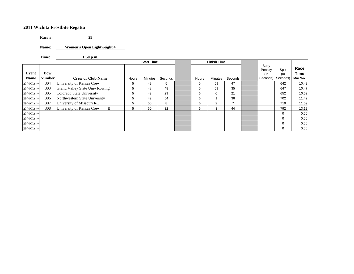**Race #: 29**29

**Name: Women's Open Lightweight 4**

**Time: 1:50 p.m.**

|                      |                             |                                |       | <b>Start Time</b> |         |       | <b>Finish Time</b> |         |                                    |                          |                         |
|----------------------|-----------------------------|--------------------------------|-------|-------------------|---------|-------|--------------------|---------|------------------------------------|--------------------------|-------------------------|
| Event<br><b>Name</b> | <b>Bow</b><br><b>Number</b> | <b>Crew or Club Name</b>       | Hours | Minutes           | Seconds | Hours | Minutes            | Seconds | Buoy<br>Penalty<br>(In<br>Seconds) | Split<br>(In<br>Seconds) | Race<br>Time<br>Min.Sec |
| 29-WOLt 4+           | 304                         | University of Kansas Crew      | 5     | 49                | 5       | 5     | 59                 | 47      |                                    | 642                      | 10.42                   |
| 29-WOLt 4+           | 303                         | Grand Valley State Univ Rowing | 5     | 48                | 48      | 5     | 59                 | 35      |                                    | 647                      | 10.47                   |
| 29-WOLt 4+           | 305                         | Colorado State University      | 5     | 49                | 29      | 6     | 0                  | 21      |                                    | 652                      | 10.52                   |
| 29-WOLt 4+           | 306                         | Northwestern State University  | 5     | 49                | 54      | 6     |                    | 36      |                                    | 702                      | 11.42                   |
| 29-WOLt 4+           | 307                         | University of Missouri RC      | 5     | 50                | 8       | 6     | 2                  |         |                                    | 719                      | 11.59                   |
| 29-WOLt 4+           | 308                         | University of Kansas Crew<br>B | 5     | 50                | 32      | 6     | 3                  | 44      |                                    | 792                      | 13.12                   |
| 29-WOLt 4+           |                             |                                |       |                   |         |       |                    |         |                                    | 0                        | 0.00                    |
| 29-WOLt 4+           |                             |                                |       |                   |         |       |                    |         |                                    | $\Omega$                 | 0.00                    |
| 29-WOLt 4+           |                             |                                |       |                   |         |       |                    |         |                                    | 0                        | 0.00                    |
| 29-WOLt 4+           |                             |                                |       |                   |         |       |                    |         |                                    | 0                        | 0.00                    |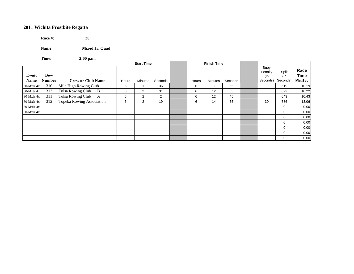**Race #: 30** $30$ 

**Name: Mixed Jr. Quad**

**Time: 2:00 p.m.**

|                      |                             |                           |       | <b>Start Time</b> |         |       | <b>Finish Time</b> |         |                                    |                          |                                |
|----------------------|-----------------------------|---------------------------|-------|-------------------|---------|-------|--------------------|---------|------------------------------------|--------------------------|--------------------------------|
| Event<br><b>Name</b> | <b>Bow</b><br><b>Number</b> | <b>Crew or Club Name</b>  | Hours | Minutes           | Seconds | Hours | <b>Minutes</b>     | Seconds | Buoy<br>Penalty<br>(In<br>Seconds) | Split<br>(In<br>Seconds) | Race<br>Time<br><b>Min.Sec</b> |
| $30$ -MxJr $4x$      | 310                         | Mile High Rowing Club     | 6     |                   | 36      | 6     | 11                 | 55      |                                    | 619                      | 10.19                          |
| $30$ -MxJr $4x$      | 313                         | Tulsa Rowing Club<br>B    | 6     | $\overline{2}$    | 31      | 6     | 12                 | 53      |                                    | 622                      | 10.22                          |
| $30$ -MxJr $4x$      | 311                         | Tulsa Rowing Club<br>A    | 6     | $\overline{2}$    | 2       | 6     | 12                 | 45      |                                    | 643                      | 10.43                          |
| $30$ -MxJr $4x$      | 312                         | Topeka Rowing Association | 6     | $\overline{2}$    | 19      | 6     | 14                 | 55      | 30                                 | 786                      | 13.06                          |
| $30$ -MxJr $4x$      |                             |                           |       |                   |         |       |                    |         |                                    | $\mathbf 0$              | 0.00                           |
| $30$ -MxJr $4x$      |                             |                           |       |                   |         |       |                    |         |                                    | $\mathbf 0$              | 0.00                           |
|                      |                             |                           |       |                   |         |       |                    |         |                                    | $\mathbf 0$              | 0.00                           |
|                      |                             |                           |       |                   |         |       |                    |         |                                    | $\mathbf 0$              | 0.00                           |
|                      |                             |                           |       |                   |         |       |                    |         |                                    | $\mathbf 0$              | 0.00                           |
|                      |                             |                           |       |                   |         |       |                    |         |                                    | $\mathbf 0$              | 0.00                           |
|                      |                             |                           |       |                   |         |       |                    |         |                                    | $\mathbf 0$              | 0.00                           |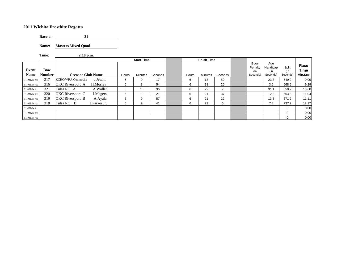**Race #: 31** $31$ 

**Name: Masters Mixed Quad**

**Time: 2:10 p.m.**

|               |               |                                       |       | <b>Start Time</b> |         |       | <b>Finish Time</b> |         |                                    |                                    |                          |                         |
|---------------|---------------|---------------------------------------|-------|-------------------|---------|-------|--------------------|---------|------------------------------------|------------------------------------|--------------------------|-------------------------|
| Event<br>Name | Bow<br>Number | <b>Crew or Club Name</b>              | Hours | <b>Minutes</b>    | Seconds | Hours | <b>Minutes</b>     | Seconds | Buoy<br>Penalty<br>(In<br>Seconds) | Age<br>Handicap<br>(In<br>Seconds) | Split<br>(In<br>Seconds) | Race<br>Time<br>Min.Sec |
| $31-MMx$ 4x   | 317           | J.Jewitt<br><b>KCRC/WRA Composite</b> | 6     | 9                 | 17      | 6     | 18                 | 50      |                                    | 23.8                               | 549.2                    | 9.09                    |
| 31-MMx 4x     | 316           | <b>OKC</b> Riversport A<br>H.Moslev   | 6     | 8                 | 54      | 6     | 18                 | 26      |                                    | 3.5                                | 568.5                    | 9.29                    |
| 31-MMx 4x     | 321           | A.Waller<br>Tulsa RC A                | 6     | 10                | 36      | 6     | 22                 |         |                                    | 31.1                               | 659.9                    | 10.60                   |
| 31-MMx 4x     | 320           | OKC Riversport C<br>J.Magers          | 6     | 10                | 21      | 6     | 21                 | 37      |                                    | 12.2                               | 663.8                    | 11.04                   |
| 31-MMx 4x     | 319           | OKC Riversport B<br>A.Ayala           | 6     | 9                 | 57      | 6     | 21                 | 22      |                                    | 13.8                               | 671.2                    | 11.11                   |
| 31-MMx 4x     | 318           | Tulsa RC B<br>J.Parker Jr.            | 6     | 9                 | 41      | 6     | 22                 | 6       |                                    | 7.8                                | 737.2                    | 12.17                   |
| 31-MMx 4x     |               |                                       |       |                   |         |       |                    |         |                                    |                                    | $\mathbf 0$              | 0.00                    |
| $31-MMx$ 4x   |               |                                       |       |                   |         |       |                    |         |                                    |                                    | $\Omega$                 | 0.00                    |
| $31-MMx$ 4x   |               |                                       |       |                   |         |       |                    |         |                                    |                                    | 0                        | 0.00                    |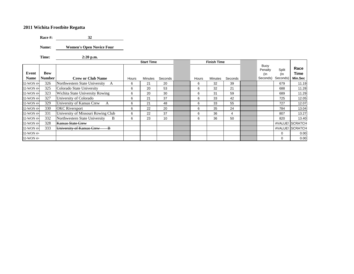**Race #: 32**32

**Name: Women's Open Novice Four**

**Time: 2:20 p.m.**

|             |               |                                           |       | <b>Start Time</b> |         |       | <b>Finish Time</b> |         |                        |              |                 |
|-------------|---------------|-------------------------------------------|-------|-------------------|---------|-------|--------------------|---------|------------------------|--------------|-----------------|
| Event       | <b>Bow</b>    |                                           |       |                   |         |       |                    |         | Buoy<br>Penalty<br>(In | Split<br>(In | Race<br>Time    |
| <b>Name</b> | <b>Number</b> | <b>Crew or Club Name</b>                  | Hours | Minutes           | Seconds | Hours | Minutes            | Seconds | Seconds)               | Seconds)     | Min.Sec         |
| 32-WON 4+   | 326           | Northwestern State University<br>A        | 6     | 21                | 20      | 6     | 32                 | 39      |                        | 679          | 11.19           |
| 32-WON 4+   | 325           | Colorado State University                 | 6     | 20                | 53      | 6     | 32                 | 21      |                        | 688          | 11.28           |
| 32-WON 4+   | 323           | Wichita State University Rowing           | 6     | 20                | 30      | 6     | 31                 | 59      |                        | 689          | 11.29           |
| 32-WON 4+   | 327           | University of Colorado                    | 6     | 21                | 37      | 6     | 33                 | 42      |                        | 725          | 12.05           |
| 32-WON 4+   | 329           | University of Kansas Crew<br>$\mathbf{A}$ | 6     | 21                | 48      | 6     | 33                 | 55      |                        | 727          | 12.07           |
| 32-WON 4+   | 330           | <b>OKC</b> Riversport                     | 6     | 22                | 20      | 6     | 35                 | 24      |                        | 784          | 13.04           |
| 32-WON 4+   | 331           | University of Missouri Rowing Club        | 6     | 22                | 37      | 6     | 36                 | 4       |                        | 807          | 13.27           |
| 32-WON 4+   | 332           | Northwestern State University<br>B        | 6     | 23                | 10      | 6     | 36                 | 50      |                        | 820          | 13.40           |
| 32-WON 4+   | 328           | <b>Kansas State Crew</b>                  |       |                   |         |       |                    |         |                        |              | #VALUE! SCRATCH |
| 32-WON 4+   | 333           | University of Kansas Crew<br>-B           |       |                   |         |       |                    |         |                        |              | #VALUE! SCRATCH |
| 32-WON 4+   |               |                                           |       |                   |         |       |                    |         |                        | $\Omega$     | 0.00            |
| 32-WON 4+   |               |                                           |       |                   |         |       |                    |         |                        | 0            | 0.00            |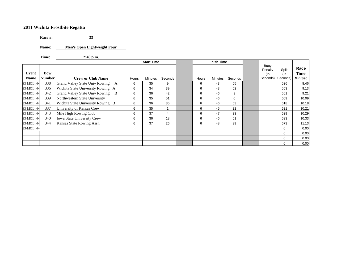**Race #: 33** $33$ 

**Name: Men's Open Lightweight Four**

**Time: 2:40 p.m.**

|             |               |                                            |       | <b>Start Time</b> |         |       | <b>Finish Time</b> |         |                        |              |              |
|-------------|---------------|--------------------------------------------|-------|-------------------|---------|-------|--------------------|---------|------------------------|--------------|--------------|
| Event       | Bow           |                                            |       |                   |         |       |                    |         | Buoy<br>Penalty<br>(In | Split<br>(In | Race<br>Time |
| <b>Name</b> | <b>Number</b> | <b>Crew or Club Name</b>                   | Hours | <b>Minutes</b>    | Seconds | Hours | <b>Minutes</b>     | Seconds | Seconds)               | Seconds)     | Min.Sec      |
| 33-MOLt 4+  | 338           | <b>Grand Valley State Univ Rowing</b><br>A | 6     | 35                | 9       | 6     | 43                 | 55      |                        | 526          | 8.46         |
| 33-MOLt 4+  | 336           | Wichita State University Rowing A          | 6     | 34                | 39      | 6     | 43                 | 52      |                        | 553          | 9.13         |
| 33-MOLt 4+  | 342           | Grand Valley State Univ Rowing B           | 6     | 36                | 42      | 6     | 46                 | 3       |                        | 561          | 9.21         |
| 33-MOLt 4+  | 339           | Northwestern State University              | 6     | 35                | 51      | 6     | 46                 | 0       |                        | 609          | 10.09        |
| 33-MOLt 4+  | 341           | Wichita State University Rowing B          | 6     | 36                | 35      | 6     | 46                 | 53      |                        | 618          | 10.18        |
| 33-MOLt 4+  | 337           | University of Kansas Crew                  | 6     | 35                |         | 6     | 45                 | 22      |                        | 621          | 10.21        |
| 33-MOLt 4+  | 343           | Mile High Rowing Club                      | 6     | 37                | 4       | 6     | 47                 | 33      |                        | 629          | 10.29        |
| 33-MOLt 4+  | 340           | Iowa State University Crew                 | 6     | 36                | 18      | 6     | 46                 | 51      |                        | 633          | 10.33        |
| 33-MOLt 4+  | 344           | Kansas State Rowing Assn                   | 6     | 37                | 26      | 6     | 48                 | 39      |                        | 673          | 11.13        |
| 33-MOLt 4+  |               |                                            |       |                   |         |       |                    |         |                        | $\mathbf 0$  | 0.00         |
|             |               |                                            |       |                   |         |       |                    |         |                        | $\mathbf 0$  | 0.00         |
|             |               |                                            |       |                   |         |       |                    |         |                        | $\mathbf 0$  | 0.00         |
|             |               |                                            |       |                   |         |       |                    |         |                        | $\mathbf 0$  | 0.00         |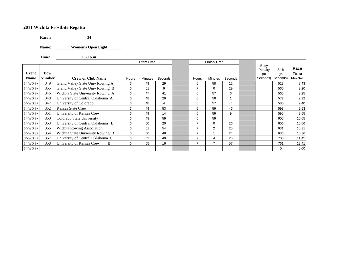**Race #: 34**

**Name: Women's Open Eight**

**Time: 2:50 p.m.**

|            |               |                                   |       | <b>Start Time</b> |         |                | <b>Finish Time</b> |         |                        |              |              |
|------------|---------------|-----------------------------------|-------|-------------------|---------|----------------|--------------------|---------|------------------------|--------------|--------------|
| Event      | <b>Bow</b>    |                                   |       |                   |         |                |                    |         | Buoy<br>Penalty<br>(In | Split<br>(In | Race<br>Time |
| Name       | <b>Number</b> | <b>Crew or Club Name</b>          | Hours | Minutes           | Seconds | Hours          | Minutes            | Seconds | Seconds)               | Seconds)     | Min.Sec      |
| $34-WO_8+$ | 349           | Grand Valley State Univ Rowing A  | 6     | 49                | 29      | 6              | 58                 | 12      |                        | 523          | 8.43         |
| $34-WO_8+$ | 355           | Grand Valley State Univ Rowing B  | 6     | 51                | 9       | $\overline{7}$ | $\mathbf 0$        | 29      |                        | 560          | 9.20         |
| $34-WO_8+$ | 346           | Wichita State University Rowing A | 6     | 47                | 41      | 6              | 57                 | 6       |                        | 565          | 9.25         |
| 34-WO 8+   | 348           | University of Central Oklahoma A  | 6     | 48                | 29      | 6              | 58                 |         |                        | 572          | 9.32         |
| $34-WO_8+$ | 347           | University of Colorado            | 6     | 48                | 4       | 6              | 57                 | 44      |                        | 580          | 9.40         |
| $34-WO_8+$ | 352           | Kansas State Crew                 | 6     | 49                | 53      | 6              | 59                 | 46      |                        | 593          | 9.53         |
| $34-WO_8+$ | 351           | University of Kansas Crew         | 6     | 49                | 14      | 6              | 59                 | 9       |                        | 595          | 9.55         |
| $34-WO_8+$ | 350           | Colorado State University         | 6     | 48                | 59      | 6              | 59                 | 4       |                        | 605          | 10.05        |
| $34-WO_8+$ | 353           | University of Central Oklahoma B  | 6     | 50                | 20      | 7              | $\mathbf 0$        | 26      |                        | 606          | 10.06        |
| $34-WO_8+$ | 356           | <b>Wichita Rowing Association</b> | 6     | 51                | 54      | 7              | 2                  | 25      |                        | 631          | 10.31        |
| $34-WO_8+$ | 354           | Wichita State University Rowing B | 6     | 50                | 48      | 7              |                    | 24      |                        | 636          | 10.36        |
| $34-WO_8+$ | 357           | University of Central Oklahoma C  | 6     | 52                | 40      | $\overline{7}$ | 4                  | 25      |                        | 705          | 11.45        |
| $34-WO_8+$ | 358           | University of Kansas Crew<br>B    | 6     | 55                | 16      | 7              | $\overline{7}$     | 57      |                        | 761          | 12.41        |
| 34-WO 8+   |               |                                   |       |                   |         |                |                    |         |                        | 0            | 0.00         |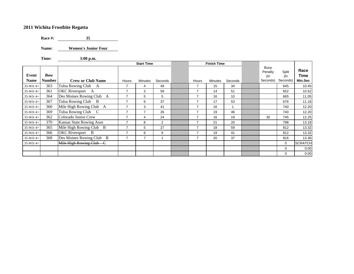**Race #: 35** $35$ 

**Name: Women's Junior Four**

**Time: 3:00 p.m.**

|                      |                             |                          |                | <b>Start Time</b> |                |                          | <b>Finish Time</b> |         |                                    |                          |                         |
|----------------------|-----------------------------|--------------------------|----------------|-------------------|----------------|--------------------------|--------------------|---------|------------------------------------|--------------------------|-------------------------|
| Event<br><b>Name</b> | <b>Bow</b><br><b>Number</b> | <b>Crew or Club Name</b> | Hours          | Minutes           | Seconds        | Hours                    | Minutes            | Seconds | Buoy<br>Penalty<br>(In<br>Seconds) | Split<br>(In<br>Seconds) | Race<br>Time<br>Min.Sec |
|                      | 363                         |                          |                |                   |                | 7                        |                    | 34      |                                    |                          |                         |
| $35-WJr$ 4+          |                             | Tulsa Rowing Club A      |                | 4                 | 49             |                          | 15                 |         |                                    | 645                      | 10.45                   |
| $35-WJr$ 4+          | 361                         | OKC Riversport A         | $\overline{7}$ | 3                 | 59             |                          | 14                 | 51      |                                    | 652                      | 10.52                   |
| $35-WJr$ 4+          | 364                         | Des Moines Rowing Club A |                | 5                 | 5              | $\overline{\phantom{a}}$ | 16                 | 10      |                                    | 665                      | 11.05                   |
| $35-WJr$ 4+          | 367                         | Tulsa Rowing Club B      | $\overline{7}$ | 6                 | 37             |                          | 17                 | 53      |                                    | 676                      | 11.16                   |
| $35-WJr$ 4+          | 360                         | Mile High Rowing Club A  |                | 3                 | 41             | $\overline{\phantom{a}}$ | 16                 |         |                                    | 740                      | 12.20                   |
| $35-WJr$ 4+          | 369                         | Tulsa Rowing Club C      | $\overline{7}$ | $\overline{ }$    | 26             | 7                        | 19                 | 46      |                                    | 740                      | 12.20                   |
| $35-WJr$ 4+          | 362                         | Colorado Junior Crew     | $\overline{7}$ | 4                 | 24             | $\overline{ }$           | 16                 | 19      | 30                                 | 745                      | 12.25                   |
| $35-WJr$ 4+          | 370                         | Kansas State Rowing Assn |                | 8                 | $\overline{2}$ |                          | 21                 | 20      |                                    | 798                      | 13.18                   |
| $35-WJr$ 4+          | 365                         | Mile High Rowing Club B  | 7              | 5                 | 27             | 7                        | 18                 | 59      |                                    | 812                      | 13.32                   |
| $35-WJr$ 4+          | 366                         | OKC Riversport B         | $\overline{7}$ | 6                 | 9              | ⇁                        | 19                 | 41      |                                    | 812                      | 13.32                   |
| $35-WJr$ 4+          | 368                         | Des Moines Rowing Club B | 7              | 7                 |                | 7                        | 20                 | 37      |                                    | 816                      | 13.36                   |
| $35-WJr$ 4+          |                             | Mile High Rowing Club C  |                |                   |                |                          |                    |         |                                    | $\mathbf 0$              | <b>SCRATCH</b>          |
|                      |                             |                          |                |                   |                |                          |                    |         |                                    | $\mathbf 0$              | 0.00                    |
|                      |                             |                          |                |                   |                |                          |                    |         |                                    | $\mathbf 0$              | 0.00                    |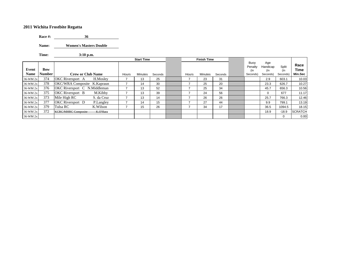**Race #: 36** $36$ 

**Name: Women's Masters Double**

**Time: 3:10 p.m.**

|                      |                      |                              |            |       | <b>Start Time</b> |         |       | <b>Finish Time</b> |         |                                    |                                    |                          |                         |
|----------------------|----------------------|------------------------------|------------|-------|-------------------|---------|-------|--------------------|---------|------------------------------------|------------------------------------|--------------------------|-------------------------|
| Event<br><b>Name</b> | Bow<br><b>Number</b> | <b>Crew or Club Name</b>     |            | Hours | <b>Minutes</b>    | Seconds | Hours | Minutes            | Seconds | Buoy<br>Penalty<br>(In<br>Seconds) | Age<br>Handicap<br>(In<br>Seconds) | Split<br>(In<br>Seconds) | Race<br>Time<br>Min.Sec |
| 36-WM 2x             | 374                  | <b>OKC</b> Riversport A      | H.Moslev   |       | 13                | 25      |       | 23                 | 31      |                                    | 2.9                                | 603.1                    | 10.03                   |
| 36-WM 2x             | 378                  | OKC/WRA Composite K.Kapraun  |            |       | 14                | 30      |       | 25                 | 20      |                                    | 23.3                               | 626.7                    | 10.27                   |
| 36-WM 2x             | 376                  | OKC Riversport C N.Middleman |            |       | 13                | 52      |       | 25                 | 34      |                                    | 45.7                               | 656.3                    | 10.56                   |
| 36-WM 2x             | 375                  | <b>OKC</b> Riversport B      | M.Kibby    |       | 13                | 39      |       | 24                 | 56      |                                    | 0                                  | 677                      | 11.17                   |
| 36-WM 2x             | 373                  | Mile High RC                 | S. da Cruz |       | 13                | 14      |       | 26                 | 26      |                                    | 25.7                               | 766.3                    | 12.46                   |
| 36-WM 2x             | 377                  | <b>OKC</b> Riversport D      | P.Langley  |       | 14                | 15      |       | 27                 | 44      |                                    | 9.9                                | 799.1                    | 13.19                   |
| 36-WM 2x             | 379                  | Tulsa RC                     | K.Wilson   |       | 15                | 26      |       | 34                 | 17      |                                    | 36.5                               | 1094.5                   | 18.15                   |
| 36-WM 2x             | 372                  | <b>KCRC/MHRC Composite</b>   | K.O'Hara   |       |                   |         |       |                    |         |                                    | 18.9                               | $-18.9$                  | <b>SCRATCH</b>          |
| 36-WM 2x             |                      |                              |            |       |                   |         |       |                    |         |                                    |                                    | 0                        | 0.00                    |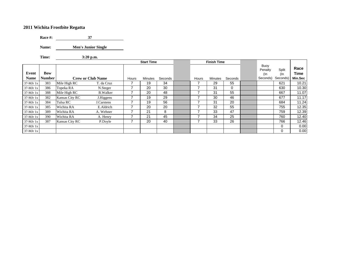**Race #: 37**

Name: **Men's Junior Single** 

**Time: 3:20 p.m.**

|             |               |                |                          |       | <b>Start Time</b> |         |       | <b>Finish Time</b> |          |                        |              |              |
|-------------|---------------|----------------|--------------------------|-------|-------------------|---------|-------|--------------------|----------|------------------------|--------------|--------------|
| Event       | Bow           |                |                          |       |                   |         |       |                    |          | Buoy<br>Penalty<br>(In | Split<br>(In | Race<br>Time |
| <b>Name</b> | <b>Number</b> |                | <b>Crew or Club Name</b> | Hours | <b>Minutes</b>    | Seconds | Hours | Minutes            | Seconds  | Seconds)               | Seconds)     | Min.Sec      |
| $37-MJr$ 1x | 383           | Mile High RC   | T. da Cruz               |       | 19                | 34      |       | 29                 | 55       |                        | 621          | 10.21        |
| $37-MJr$ 1x | 386           | Topeka RA      | N.Steger                 |       | 20                | 30      |       | 31                 | $\Omega$ |                        | 630          | 10.30        |
| $37-MJr$ 1x | 388           | Mile High RC   | <b>B.Walker</b>          |       | 20                | 48      |       | 31                 | 55       |                        | 667          | 11.07        |
| $37-MJr$ 1x | 382           | Kansas City RC | J. Higgens               |       | 19                | 29      |       | 30                 | 46       |                        | 677          | 11.17        |
| $37-MJr$ 1x | 384           | Tulsa RC       | J.Carstens               |       | 19                | 56      |       | 31                 | 20       |                        | 684          | 11.24        |
| $37-MJr$ 1x | 385           | Wichita RA     | E.Aldrich                | ⇁     | 20                | 20      | ⇁     | 32                 | 55       |                        | 755          | 12.35        |
| $37-MJr$ 1x | 389           | Wichita RA     | A. Wehner                | ⇁     | 21                | 8       | –     | 33                 | 47       |                        | 759          | 12.39        |
| $37-MJr$ 1x | 390           | Wichita RA     | A. Henry                 | ⇁     | 21                | 45      |       | 34                 | 25       |                        | 760          | 12.40        |
| $37-MJr$ 1x | 387           | Kansas City RC | P.Doyle                  |       | 20                | 40      |       | 33                 | 26       |                        | 766          | 12.46        |
| $37-MJr$ 1x |               |                |                          |       |                   |         |       |                    |          |                        | 0            | 0.00         |
| 37-MJr 1x   |               |                |                          |       |                   |         |       |                    |          |                        | 0            | 0.00         |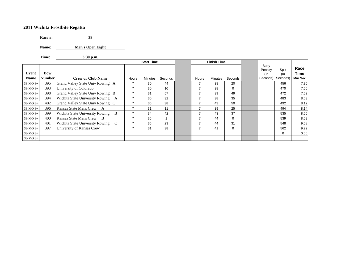**Race #: 38**

**Name: Men's Open Eight**

**Time: 3:30 p.m.**

|             |               |                                      |                | <b>Start Time</b> |         |  | <b>Finish Time</b> |         |              |  |                           |              |              |
|-------------|---------------|--------------------------------------|----------------|-------------------|---------|--|--------------------|---------|--------------|--|---------------------------|--------------|--------------|
| Event       | <b>Bow</b>    |                                      |                |                   |         |  |                    |         |              |  | Buoy<br>Penalty<br>$($ ln | Split<br>(In | Race<br>Time |
| <b>Name</b> | <b>Number</b> | <b>Crew or Club Name</b>             | Hours          | Minutes           | Seconds |  | Hours              | Minutes | Seconds      |  | Seconds)                  | Seconds)     | Min.Sec      |
| 38-MO 8+    | 395           | Grand Valley State Univ Rowing A     | $\overline{7}$ | 30                | 44      |  | 7                  | 38      | 20           |  |                           | 456          | 7.36         |
| 38-MO 8+    | 393           | University of Colorado               | $\overline{7}$ | 30                | 10      |  | 7                  | 38      | $\Omega$     |  |                           | 470          | 7.50         |
| $38-MO_8+$  | 398           | Grand Valley State Univ Rowing B     | $\overline{7}$ | 31                | 57      |  | $\overline{7}$     | 39      | 49           |  |                           | 472          | 7.52         |
| 38-MO 8+    | 394           | Wichita State University Rowing<br>A | $\overline{7}$ | 30                | 32      |  | $\overline{7}$     | 38      | 35           |  |                           | 483          | 8.03         |
| 38-MO 8+    | 402           | Grand Valley State Univ Rowing C     | $\overline{7}$ | 35                | 38      |  | $\overline{7}$     | 43      | 50           |  |                           | 492          | 8.12         |
| 38-MO 8+    | 396           | Kansas State Mens Crew<br>A          | $\overline{7}$ | 31                | 11      |  | 7                  | 39      | 25           |  |                           | 494          | 8.14         |
| 38-MO 8+    | 399           | Wichita State University Rowing<br>B | $\overline{ }$ | 34                | 42      |  | $\overline{7}$     | 43      | 37           |  |                           | 535          | 8.55         |
| 38-MO 8+    | 400           | Kansas State Mens Crew<br>- B        | $\overline{ }$ | 35                | 1       |  | $\overline{7}$     | 44      | $\Omega$     |  |                           | 539          | 8.59         |
| 38-MO 8+    | 401           | Wichita State University Rowing<br>C | 7              | 35                | 23      |  | $\overline{7}$     | 44      | 31           |  |                           | 548          | 9.08         |
| 38-MO 8+    | 397           | University of Kansas Crew            | $\overline{7}$ | 31                | 38      |  | 7                  | 41      | $\mathbf{0}$ |  |                           | 562          | 9.22         |
| 38-MO 8+    |               |                                      |                |                   |         |  |                    |         |              |  |                           | 0            | 0.00         |
| 38-MO 8+    |               |                                      |                |                   |         |  |                    |         |              |  |                           |              |              |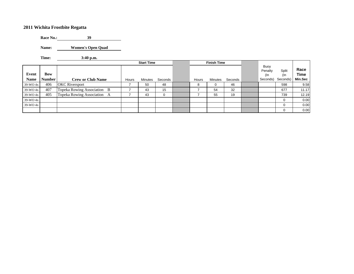**Race No.: 39**39

**Name: Women's Open Quad**

**Time: 3:40 p.m.**

|               |                      |                                | <b>Start Time</b> |                |         | <b>Finish Time</b> |         |         |                                    |                          |                         |
|---------------|----------------------|--------------------------------|-------------------|----------------|---------|--------------------|---------|---------|------------------------------------|--------------------------|-------------------------|
| Event<br>Name | Bow<br><b>Number</b> | <b>Crew or Club Name</b>       | Hours             | <b>Minutes</b> | Seconds | Hours              | Minutes | Seconds | Buoy<br>Penalty<br>(In<br>Seconds) | Split<br>(In<br>Seconds) | Race<br>Time<br>Min.Sec |
| 39-WO 4x      | 406                  | <b>OKC</b> Riversport          |                   | 50             | 48      | 8                  | 0       | 46      |                                    | 598                      | 9.58                    |
| $39-WO$ 4x    | 407                  | Topeka Rowing Association B    |                   | 43             | 15      |                    | 54      | 32      |                                    | 677                      | 11.17                   |
| 39-WO 4x      | 405                  | Topeka Rowing Association<br>A |                   | 43             | 0       |                    | 55      | 19      |                                    | 739                      | 12.19                   |
| 39-WO 4x      |                      |                                |                   |                |         |                    |         |         |                                    | 0                        | 0.00                    |
| $39-WO$ 4x    |                      |                                |                   |                |         |                    |         |         |                                    | $\Omega$                 | 0.00                    |
|               |                      |                                |                   |                |         |                    |         |         |                                    | $\Omega$                 | 0.00                    |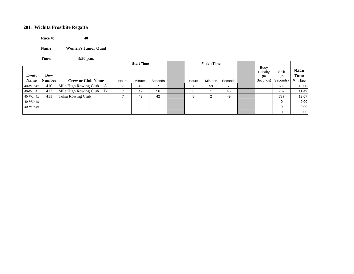**Race #:**  $40\,$ 

**Name: Women's Junior Quad**

**Time: 3:50 p.m.**

|                      |                             | <b>Start Time</b>                       |       |         |         |  |       | <b>Finish Time</b> |         |                                    |                          |                                |
|----------------------|-----------------------------|-----------------------------------------|-------|---------|---------|--|-------|--------------------|---------|------------------------------------|--------------------------|--------------------------------|
| Event<br><b>Name</b> | <b>Bow</b><br><b>Number</b> | <b>Crew or Club Name</b>                | Hours | Minutes | Seconds |  | Hours | <b>Minutes</b>     | Seconds | Buoy<br>Penalty<br>(In<br>Seconds) | Split<br>(In<br>Seconds) | Race<br><b>Time</b><br>Min.Sec |
| $40-WJr$ 4x          | 410                         | Mile High Rowing Club<br>A              |       | 49      |         |  |       | 59                 |         |                                    | 600                      | 10.00                          |
| $40-WJr 4x$          | 412                         | Mile High Rowing Club<br>$\overline{B}$ |       | 49      | 56      |  | 8     |                    | 45      |                                    | 709                      | 11.49                          |
| $40-WJr 4x$          | 411                         | <b>Tulsa Rowing Club</b>                |       | 49      | 42      |  | 8     |                    | 49      |                                    | 787                      | 13.07                          |
| $40-WJr 4x$          |                             |                                         |       |         |         |  |       |                    |         |                                    | 0                        | 0.00                           |
| $40-WJr$ 4x          |                             |                                         |       |         |         |  |       |                    |         |                                    | $\Omega$                 | 0.00                           |
|                      |                             |                                         |       |         |         |  |       |                    |         |                                    | $\Omega$                 | 0.00                           |